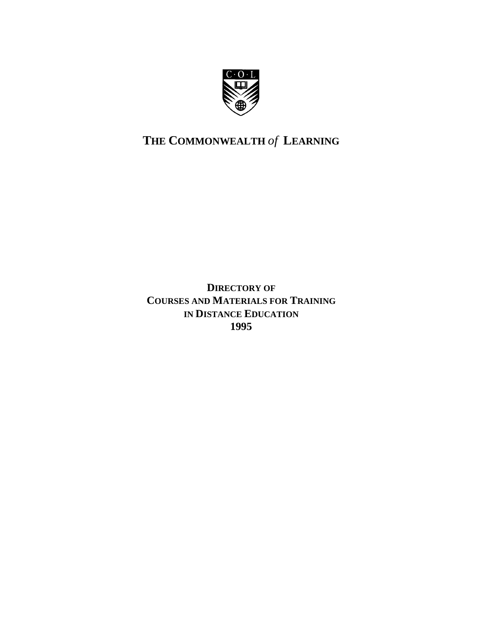

# **THE COMMONWEALTH** *of* **LEARNING**

**DIRECTORY OF COURSES AND MATERIALS FOR TRAINING IN DISTANCE EDUCATION 1995**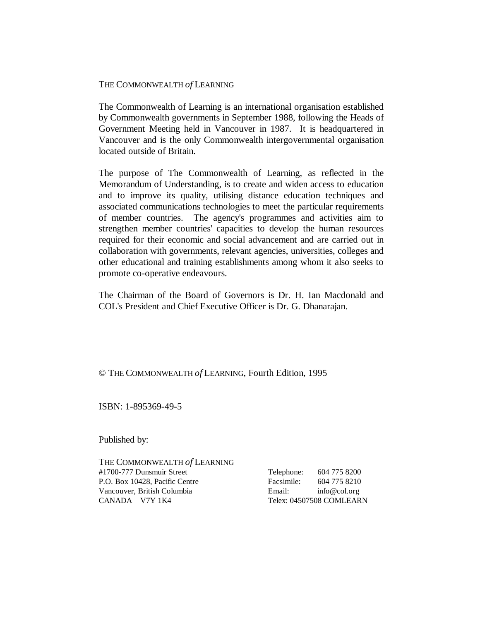#### THE COMMONWEALTH *of* LEARNING

The Commonwealth of Learning is an international organisation established by Commonwealth governments in September 1988, following the Heads of Government Meeting held in Vancouver in 1987. It is headquartered in Vancouver and is the only Commonwealth intergovernmental organisation located outside of Britain.

The purpose of The Commonwealth of Learning, as reflected in the Memorandum of Understanding, is to create and widen access to education and to improve its quality, utilising distance education techniques and associated communications technologies to meet the particular requirements of member countries. The agency's programmes and activities aim to strengthen member countries' capacities to develop the human resources required for their economic and social advancement and are carried out in collaboration with governments, relevant agencies, universities, colleges and other educational and training establishments among whom it also seeks to promote co-operative endeavours.

The Chairman of the Board of Governors is Dr. H. Ian Macdonald and COL's President and Chief Executive Officer is Dr. G. Dhanarajan.

#### © THE COMMONWEALTH *of* LEARNING, Fourth Edition, 1995

ISBN: 1-895369-49-5

Published by:

THE COMMONWEALTH *of* LEARNING #1700-777 Dunsmuir Street P.O. Box 10428, Pacific Centre Vancouver, British Columbia CANADA V7Y 1K4

| Telephone: | 604 775 8200             |
|------------|--------------------------|
| Facsimile: | 604 775 8210             |
| Email:     | info@col.org             |
|            | Telex: 04507508 COMLEARN |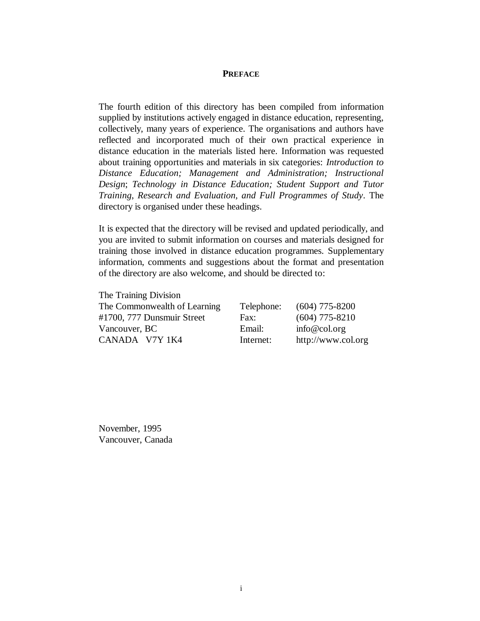#### **PREFACE**

The fourth edition of this directory has been compiled from information supplied by institutions actively engaged in distance education, representing, collectively, many years of experience. The organisations and authors have reflected and incorporated much of their own practical experience in distance education in the materials listed here. Information was requested about training opportunities and materials in six categories: *Introduction to Distance Education; Management and Administration; Instructional Design*; *Technology in Distance Education; Student Support and Tutor Training*, *Research and Evaluation, and Full Programmes of Study*. The directory is organised under these headings.

It is expected that the directory will be revised and updated periodically, and you are invited to submit information on courses and materials designed for training those involved in distance education programmes. Supplementary information, comments and suggestions about the format and presentation of the directory are also welcome, and should be directed to:

| The Training Division        |            |                    |
|------------------------------|------------|--------------------|
| The Commonwealth of Learning | Telephone: | $(604)$ 775-8200   |
| #1700, 777 Dunsmuir Street   | Fax:       | $(604)$ 775-8210   |
| Vancouver, BC                | Email:     | info@col.org       |
| CANADA V7Y 1K4               | Internet:  | http://www.col.org |
|                              |            |                    |

November, 1995 Vancouver, Canada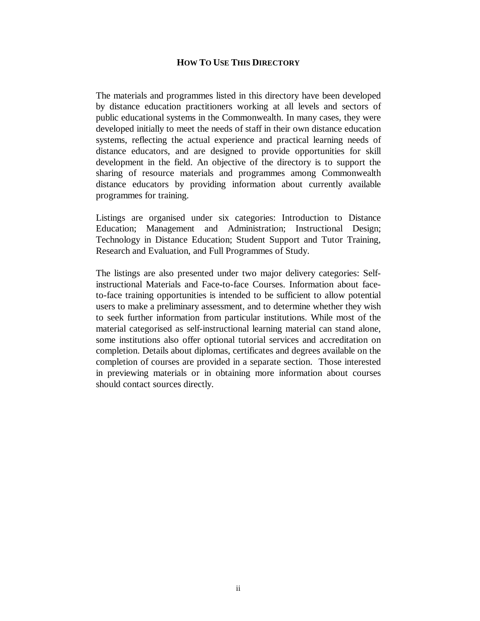#### **HOW TO USE THIS DIRECTORY**

The materials and programmes listed in this directory have been developed by distance education practitioners working at all levels and sectors of public educational systems in the Commonwealth. In many cases, they were developed initially to meet the needs of staff in their own distance education systems, reflecting the actual experience and practical learning needs of distance educators, and are designed to provide opportunities for skill development in the field. An objective of the directory is to support the sharing of resource materials and programmes among Commonwealth distance educators by providing information about currently available programmes for training.

Listings are organised under six categories: Introduction to Distance Education; Management and Administration; Instructional Design; Technology in Distance Education; Student Support and Tutor Training, Research and Evaluation, and Full Programmes of Study.

The listings are also presented under two major delivery categories: Selfinstructional Materials and Face-to-face Courses. Information about faceto-face training opportunities is intended to be sufficient to allow potential users to make a preliminary assessment, and to determine whether they wish to seek further information from particular institutions. While most of the material categorised as self-instructional learning material can stand alone, some institutions also offer optional tutorial services and accreditation on completion. Details about diplomas, certificates and degrees available on the completion of courses are provided in a separate section. Those interested in previewing materials or in obtaining more information about courses should contact sources directly.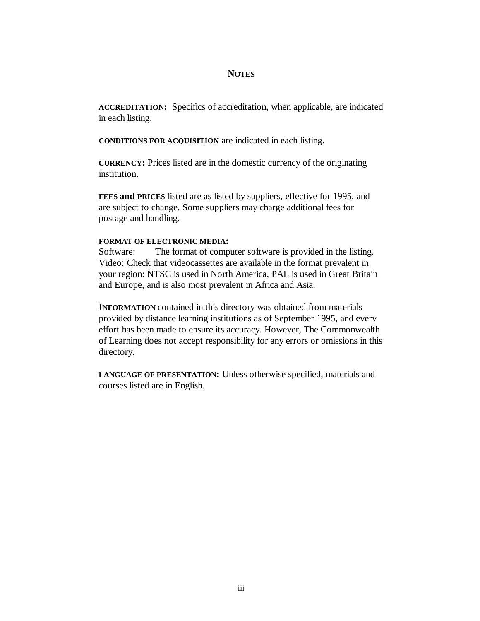### **NOTES**

**ACCREDITATION:** Specifics of accreditation, when applicable, are indicated in each listing.

**CONDITIONS FOR ACQUISITION** are indicated in each listing.

**CURRENCY:** Prices listed are in the domestic currency of the originating institution.

**FEES and PRICES** listed are as listed by suppliers, effective for 1995, and are subject to change. Some suppliers may charge additional fees for postage and handling.

#### **FORMAT OF ELECTRONIC MEDIA:**

Software: The format of computer software is provided in the listing. Video: Check that videocassettes are available in the format prevalent in your region: NTSC is used in North America, PAL is used in Great Britain and Europe, and is also most prevalent in Africa and Asia.

**INFORMATION** contained in this directory was obtained from materials provided by distance learning institutions as of September 1995, and every effort has been made to ensure its accuracy. However, The Commonwealth of Learning does not accept responsibility for any errors or omissions in this directory.

**LANGUAGE OF PRESENTATION:** Unless otherwise specified, materials and courses listed are in English.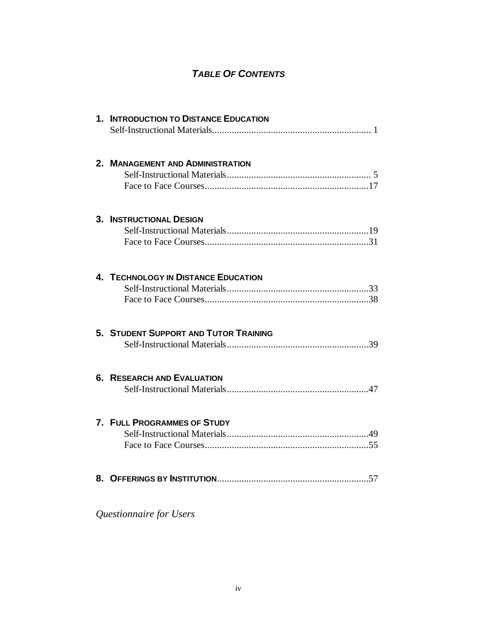# *TABLE OF CONTENTS*

| 1. INTRODUCTION TO DISTANCE EDUCATION |
|---------------------------------------|
| 2. MANAGEMENT AND ADMINISTRATION      |
| <b>3. INSTRUCTIONAL DESIGN</b>        |
| 4. TECHNOLOGY IN DISTANCE EDUCATION   |
| 5. STUDENT SUPPORT AND TUTOR TRAINING |
| <b>6. RESEARCH AND EVALUATION</b>     |
| 7. FULL PROGRAMMES OF STUDY           |
|                                       |
| Questionnaire for Users               |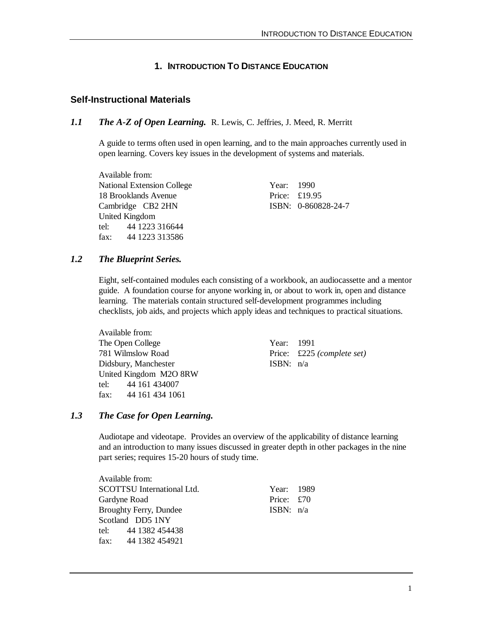### **1. INTRODUCTION TO DISTANCE EDUCATION**

### **Self-Instructional Materials**

### *1.1 The A-Z of Open Learning.* R. Lewis, C. Jeffries, J. Meed, R. Merritt

A guide to terms often used in open learning, and to the main approaches currently used in open learning. Covers key issues in the development of systems and materials.

Available from: National Extension College Year: 1990 18 Brooklands Avenue Price: £19.95 Cambridge CB2 2HN ISBN: 0-860828-24-7 United Kingdom tel: 44 1223 316644 fax: 44 1223 313586

#### *1.2 The Blueprint Series.*

Eight, self-contained modules each consisting of a workbook, an audiocassette and a mentor guide. A foundation course for anyone working in, or about to work in, open and distance learning. The materials contain structured self-development programmes including checklists, job aids, and projects which apply ideas and techniques to practical situations.

Available from: The Open College Year: 1991 781 Wilmslow Road Price: £225 *(complete set)* Didsbury, Manchester ISBN: n/a United Kingdom M2O 8RW tel: 44 161 434007 fax: 44 161 434 1061

#### *1.3 The Case for Open Learning.*

Audiotape and videotape. Provides an overview of the applicability of distance learning and an introduction to many issues discussed in greater depth in other packages in the nine part series; requires 15-20 hours of study time.

Available from: SCOTTSU International Ltd. Year: 1989 Gardyne Road Price: £70 Broughty Ferry, Dundee ISBN:  $n/a$ Scotland DD5 1NY tel: 44 1382 454438 fax: 44 1382 454921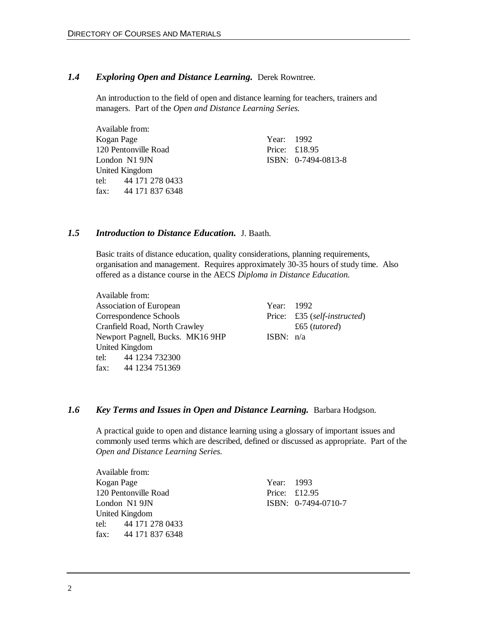#### *1.4 Exploring Open and Distance Learning.* Derek Rowntree.

An introduction to the field of open and distance learning for teachers, trainers and managers. Part of the *Open and Distance Learning Series.*

|            | Available from:      |  |                     |
|------------|----------------------|--|---------------------|
| Kogan Page |                      |  | Year: 1992          |
|            | 120 Pentonville Road |  | Price: $£18.95$     |
|            | London N1 9JN        |  | ISBN: 0-7494-0813-8 |
|            | United Kingdom       |  |                     |
|            | tel: 44 171 278 0433 |  |                     |
|            | fax: 44 171 837 6348 |  |                     |

### *1.5 Introduction to Distance Education.* J. Baath.

Basic traits of distance education, quality considerations, planning requirements, organisation and management. Requires approximately 30-35 hours of study time. Also offered as a distance course in the AECS *Diploma in Distance Education.*

Available from: Association of European Year: 1992 Correspondence Schools Price: £35 (*self-instructed*) Cranfield Road, North Crawley £65 (*tutored*) Newport Pagnell, Bucks. MK16 9HP ISBN: n/a United Kingdom tel: 44 1234 732300 fax: 44 1234 751369

### *1.6 Key Terms and Issues in Open and Distance Learning.* Barbara Hodgson.

A practical guide to open and distance learning using a glossary of important issues and commonly used terms which are described, defined or discussed as appropriate. Part of the *Open and Distance Learning Series.*

| Available from:      |            |                       |
|----------------------|------------|-----------------------|
| Kogan Page           | Year: 1993 |                       |
| 120 Pentonville Road |            | Price: $£12.95$       |
| London N1 9JN        |            | $ISBN: 0-7494-0710-7$ |
| United Kingdom       |            |                       |
| tel: 44 171 278 0433 |            |                       |
| fax: 44 171 837 6348 |            |                       |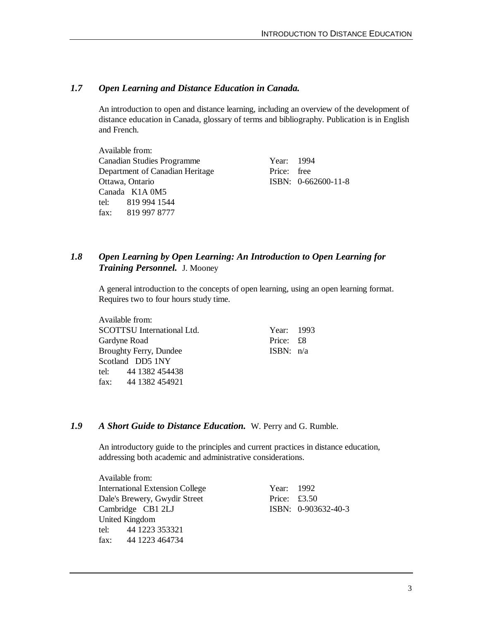### *1.7 Open Learning and Distance Education in Canada.*

An introduction to open and distance learning, including an overview of the development of distance education in Canada, glossary of terms and bibliography. Publication is in English and French.

Available from: Canadian Studies Programme Year: 1994 Department of Canadian Heritage Price: free Ottawa, Ontario ISBN: 0-662600-11-8 Canada K1A 0M5 tel: 819 994 1544 fax: 819 997 8777

### *1.8 Open Learning by Open Learning: An Introduction to Open Learning for Training Personnel.* J. Mooney

A general introduction to the concepts of open learning, using an open learning format. Requires two to four hours study time.

| Available from:                   |             |  |
|-----------------------------------|-------------|--|
| <b>SCOTTSU</b> International Ltd. | Year: 1993  |  |
| Gardyne Road                      | Price: £8   |  |
| <b>Broughty Ferry, Dundee</b>     | ISBN: $n/a$ |  |
| Scotland DD5 1NY                  |             |  |
| tel: 44 1382 454438               |             |  |
| fax: 44 1382 454921               |             |  |

### *1.9 A Short Guide to Distance Education.* W. Perry and G. Rumble.

An introductory guide to the principles and current practices in distance education, addressing both academic and administrative considerations.

Available from: International Extension College Year: 1992 Dale's Brewery, Gwydir Street Price: £3.50 Cambridge CB1 2LJ ISBN: 0-903632-40-3 United Kingdom tel: 44 1223 353321 fax: 44 1223 464734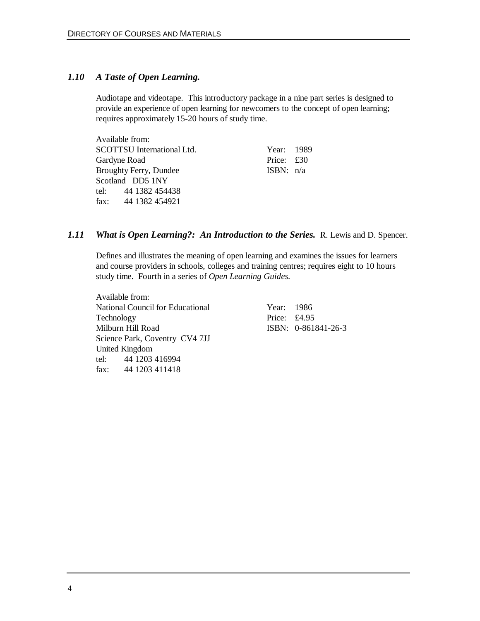### *1.10 A Taste of Open Learning.*

Audiotape and videotape. This introductory package in a nine part series is designed to provide an experience of open learning for newcomers to the concept of open learning; requires approximately 15-20 hours of study time.

| Available from:                   |             |  |
|-----------------------------------|-------------|--|
| <b>SCOTTSU</b> International Ltd. | Year: 1989  |  |
| Gardyne Road                      | Price: £30  |  |
| <b>Broughty Ferry, Dundee</b>     | ISBN: $n/a$ |  |
| Scotland DD5 1NY                  |             |  |
| tel: 44 1382 454438               |             |  |
| fax: 44 1382 454921               |             |  |

### *1.11 What is Open Learning?: An Introduction to the Series.* R. Lewis and D. Spencer.

Defines and illustrates the meaning of open learning and examines the issues for learners and course providers in schools, colleges and training centres; requires eight to 10 hours study time. Fourth in a series of *Open Learning Guides.*

Available from: National Council for Educational Year: 1986 Technology Price: £4.95 Milburn Hill Road ISBN: 0-861841-26-3 Science Park, Coventry CV4 7JJ United Kingdom tel: 44 1203 416994 fax: 44 1203 411418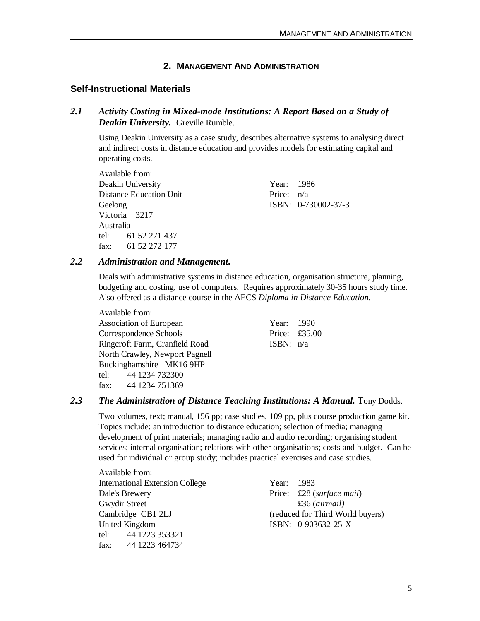### **2. MANAGEMENT AND ADMINISTRATION**

### **Self-Instructional Materials**

### *2.1 Activity Costing in Mixed-mode Institutions: A Report Based on a Study of Deakin University.* Greville Rumble.

Using Deakin University as a case study, describes alternative systems to analysing direct and indirect costs in distance education and provides models for estimating capital and operating costs.

Available from: Deakin University Year: 1986 Distance Education Unit Price:  $n/a$ Geelong ISBN: 0-730002-37-3 Victoria 3217 Australia tel: 61 52 271 437 fax: 61 52 272 177

#### *2.2 Administration and Management.*

Deals with administrative systems in distance education, organisation structure, planning, budgeting and costing, use of computers. Requires approximately 30-35 hours study time. Also offered as a distance course in the AECS *Diploma in Distance Education.*

| Available from:                |             |                              |
|--------------------------------|-------------|------------------------------|
| Association of European        | Year: 1990  |                              |
| Correspondence Schools         |             | Price: $\text{\pounds}35.00$ |
| Ringcroft Farm, Cranfield Road | ISBN: $n/a$ |                              |
| North Crawley, Newport Pagnell |             |                              |
| Buckinghamshire MK16 9HP       |             |                              |
| tel: 44 1234 732300            |             |                              |
| fax: $441234751369$            |             |                              |

### *2.3 The Administration of Distance Teaching Institutions: A Manual.* Tony Dodds.

Two volumes, text; manual, 156 pp; case studies, 109 pp, plus course production game kit. Topics include: an introduction to distance education; selection of media; managing development of print materials; managing radio and audio recording; organising student services; internal organisation; relations with other organisations; costs and budget. Can be used for individual or group study; includes practical exercises and case studies.

Available from: International Extension College Year: 1983 Dale's Brewery Price: £28 (*surface mail*) Gwydir Street **E36** (*airmail*) United Kingdom **ISBN:** 0-903632-25-X tel: 44 1223 353321 fax: 44 1223 464734

Cambridge CB1 2LJ (reduced for Third World buyers)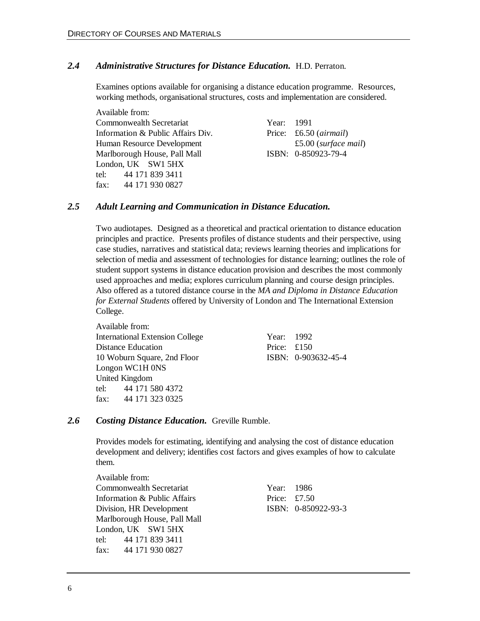### *2.4 Administrative Structures for Distance Education.* H.D. Perraton.

Examines options available for organising a distance education programme. Resources, working methods, organisational structures, costs and implementation are considered.

Available from: Commonwealth Secretariat Year: 1991 Information & Public Affairs Div. Price: £6.50 (*airmail*) Human Resource Development £5.00 (*surface mail*) Marlborough House, Pall Mall **ISBN: 0-850923-79-4** London, UK SW1 5HX tel: 44 171 839 3411 fax: 44 171 930 0827

### *2.5 Adult Learning and Communication in Distance Education.*

Two audiotapes. Designed as a theoretical and practical orientation to distance education principles and practice. Presents profiles of distance students and their perspective, using case studies, narratives and statistical data; reviews learning theories and implications for selection of media and assessment of technologies for distance learning; outlines the role of student support systems in distance education provision and describes the most commonly used approaches and media; explores curriculum planning and course design principles. Also offered as a tutored distance course in the *MA and Diploma in Distance Education for External Students* offered by University of London and The International Extension College.

Available from: International Extension College Year: 1992 Distance Education Price: £150 10 Woburn Square, 2nd Floor ISBN: 0-903632-45-4 Longon WC1H 0NS United Kingdom tel: 44 171 580 4372 fax: 44 171 323 0325

#### *2.6 Costing Distance Education.* Greville Rumble.

Provides models for estimating, identifying and analysing the cost of distance education development and delivery; identifies cost factors and gives examples of how to calculate them.

Available from: Commonwealth Secretariat Year: 1986 Information & Public Affairs Price: £7.50 Division, HR Development ISBN: 0-850922-93-3 Marlborough House, Pall Mall London, UK SW1 5HX tel: 44 171 839 3411 fax: 44 171 930 0827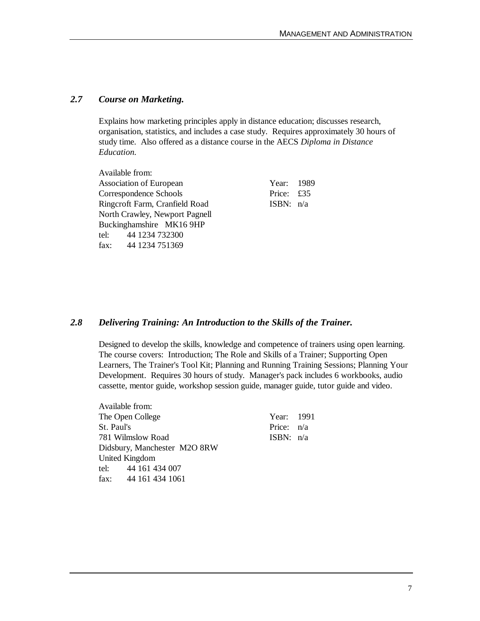#### *2.7 Course on Marketing.*

Explains how marketing principles apply in distance education; discusses research, organisation, statistics, and includes a case study. Requires approximately 30 hours of study time. Also offered as a distance course in the AECS *Diploma in Distance Education.*

| Available from:                |             |  |
|--------------------------------|-------------|--|
| <b>Association of European</b> | Year: 1989  |  |
| Correspondence Schools         | Price: £35  |  |
| Ringcroft Farm, Cranfield Road | ISBN: $n/a$ |  |
| North Crawley, Newport Pagnell |             |  |
| Buckinghamshire MK16 9HP       |             |  |
| tel: 44 1234 732300            |             |  |
| fax: 44 1234 751369            |             |  |

#### *2.8 Delivering Training: An Introduction to the Skills of the Trainer.*

Designed to develop the skills, knowledge and competence of trainers using open learning. The course covers: Introduction; The Role and Skills of a Trainer; Supporting Open Learners, The Trainer's Tool Kit; Planning and Running Training Sessions; Planning Your Development. Requires 30 hours of study. Manager's pack includes 6 workbooks, audio cassette, mentor guide, workshop session guide, manager guide, tutor guide and video.

> Year: 1991 Price: n/a ISBN:  $n/a$

| Available from:              |
|------------------------------|
| The Open College             |
| St. Paul's                   |
| 781 Wilmslow Road            |
| Didsbury, Manchester M2O 8RW |
| United Kingdom               |
| tel: 44 161 434 007          |
| fax: $441614341061$          |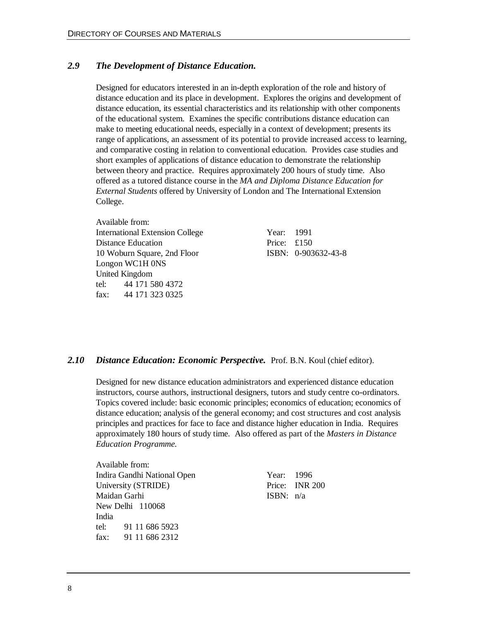### *2.9 The Development of Distance Education.*

Designed for educators interested in an in-depth exploration of the role and history of distance education and its place in development. Explores the origins and development of distance education, its essential characteristics and its relationship with other components of the educational system. Examines the specific contributions distance education can make to meeting educational needs, especially in a context of development; presents its range of applications, an assessment of its potential to provide increased access to learning, and comparative costing in relation to conventional education. Provides case studies and short examples of applications of distance education to demonstrate the relationship between theory and practice. Requires approximately 200 hours of study time. Also offered as a tutored distance course in the *MA and Diploma Distance Education for External Students* offered by University of London and The International Extension College.

Available from: International Extension College Year: 1991 Distance Education Price: £150 10 Woburn Square, 2nd Floor ISBN: 0-903632-43-8 Longon WC1H 0NS United Kingdom tel: 44 171 580 4372 fax: 44 171 323 0325

#### *2.10 Distance Education: Economic Perspective.* Prof. B.N. Koul (chief editor).

Designed for new distance education administrators and experienced distance education instructors, course authors, instructional designers, tutors and study centre co-ordinators. Topics covered include: basic economic principles; economics of education; economics of distance education; analysis of the general economy; and cost structures and cost analysis principles and practices for face to face and distance higher education in India. Requires approximately 180 hours of study time. Also offered as part of the *Masters in Distance Education Programme.*

Available from: Indira Gandhi National Open Year: 1996 University (STRIDE) Price: INR 200 Maidan Garhi **ISBN:** n/a New Delhi 110068 India tel: 91 11 686 5923 fax: 91 11 686 2312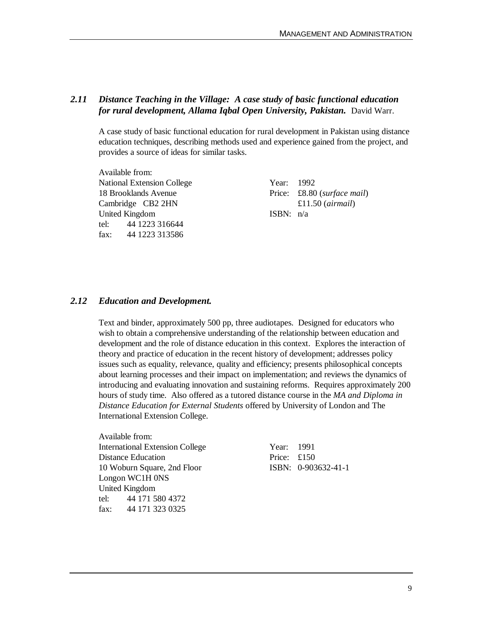### *2.11 Distance Teaching in the Village: A case study of basic functional education for rural development, Allama Iqbal Open University, Pakistan.* David Warr.

A case study of basic functional education for rural development in Pakistan using distance education techniques, describing methods used and experience gained from the project, and provides a source of ideas for similar tasks.

Available from: National Extension College Year: 1992 Cambridge CB2 2HN £11.50 (*airmail*) United Kingdom ISBN: n/a tel: 44 1223 316644 fax: 44 1223 313586

18 Brooklands Avenue Price: £8.80 (*surface mail*)

#### *2.12 Education and Development.*

Text and binder, approximately 500 pp, three audiotapes. Designed for educators who wish to obtain a comprehensive understanding of the relationship between education and development and the role of distance education in this context. Explores the interaction of theory and practice of education in the recent history of development; addresses policy issues such as equality, relevance, quality and efficiency; presents philosophical concepts about learning processes and their impact on implementation; and reviews the dynamics of introducing and evaluating innovation and sustaining reforms. Requires approximately 200 hours of study time. Also offered as a tutored distance course in the *MA and Diploma in Distance Education for External Students* offered by University of London and The International Extension College.

Available from: International Extension College Distance Education Price: **Equality** Price: **Equality** Price: **Equality** Price: **Price:** *Equality Price: 2015* 10 Woburn Square, 2nd Floor I Longon WC1H 0NS United Kingdom tel: 44 171 580 4372 fax: 44 171 323 0325

| Year: 1991  |                     |
|-------------|---------------------|
| Price: £150 |                     |
|             | ISBN: 0-903632-41-1 |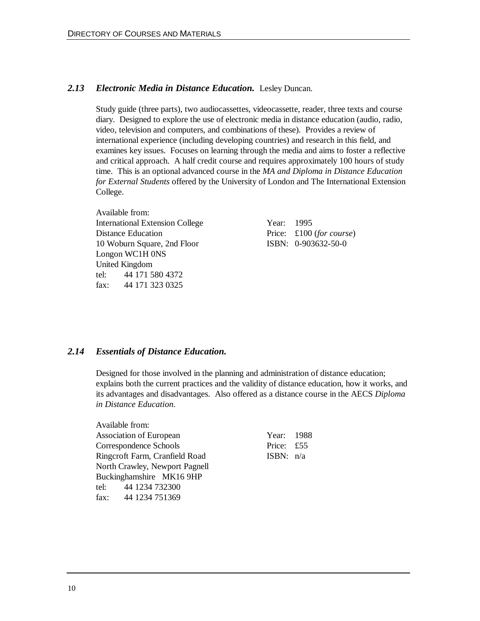### *2.13 Electronic Media in Distance Education.* Lesley Duncan.

Study guide (three parts), two audiocassettes, videocassette, reader, three texts and course diary. Designed to explore the use of electronic media in distance education (audio, radio, video, television and computers, and combinations of these). Provides a review of international experience (including developing countries) and research in this field, and examines key issues. Focuses on learning through the media and aims to foster a reflective and critical approach. A half credit course and requires approximately 100 hours of study time. This is an optional advanced course in the *MA and Diploma in Distance Education for External Students* offered by the University of London and The International Extension College.

Available from: International Extension College Year: 1995 Distance Education Price: £100 (*for course*) 10 Woburn Square, 2nd Floor ISBN: 0-903632-50-0 Longon WC1H 0NS United Kingdom tel: 44 171 580 4372 fax: 44 171 323 0325

### *2.14 Essentials of Distance Education.*

Designed for those involved in the planning and administration of distance education; explains both the current practices and the validity of distance education, how it works, and its advantages and disadvantages. Also offered as a distance course in the AECS *Diploma in Distance Education.*

| Available from:                |             |  |
|--------------------------------|-------------|--|
| <b>Association of European</b> | Year: 1988  |  |
| Correspondence Schools         | Price: £55  |  |
| Ringcroft Farm, Cranfield Road | ISBN: $n/a$ |  |
| North Crawley, Newport Pagnell |             |  |
| Buckinghamshire MK16 9HP       |             |  |
| tel: 44 1234 732300            |             |  |
| fax: 44 1234 751369            |             |  |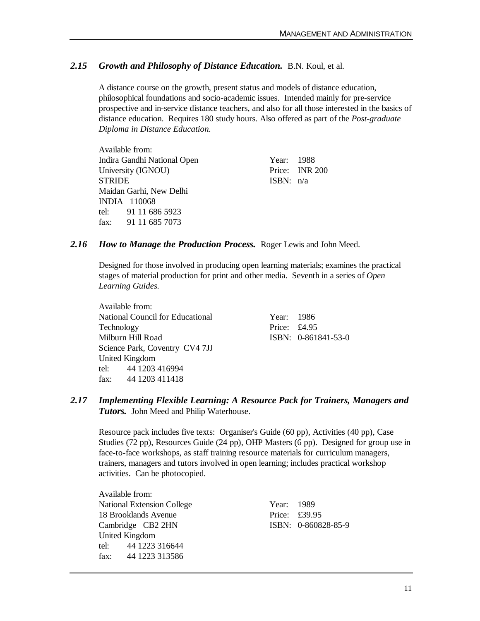### *2.15 Growth and Philosophy of Distance Education.* B.N. Koul, et al.

A distance course on the growth, present status and models of distance education, philosophical foundations and socio-academic issues. Intended mainly for pre-service prospective and in-service distance teachers, and also for all those interested in the basics of distance education. Requires 180 study hours. Also offered as part of the *Post-graduate Diploma in Distance Education.*

Available from: Indira Gandhi National Open Year: 1988 University (IGNOU) Price: INR 200  $STRIDE$  ISBN:  $n/a$ Maidan Garhi, New Delhi INDIA 110068 tel: 91 11 686 5923 fax: 91 11 685 7073

#### *2.16 How to Manage the Production Process.* Roger Lewis and John Meed.

Designed for those involved in producing open learning materials; examines the practical stages of material production for print and other media. Seventh in a series of *Open Learning Guides.*

Available from: National Council for Educational Vear: 1986 Technology Price: £4.95 Milburn Hill Road **ISBN:** 0-861841-53-0 Science Park, Coventry CV4 7JJ United Kingdom tel: 44 1203 416994 fax: 44 1203 411418

### *2.17 Implementing Flexible Learning: A Resource Pack for Trainers, Managers and Tutors.* John Meed and Philip Waterhouse.

Resource pack includes five texts: Organiser's Guide (60 pp), Activities (40 pp), Case Studies (72 pp), Resources Guide (24 pp), OHP Masters (6 pp). Designed for group use in face-to-face workshops, as staff training resource materials for curriculum managers, trainers, managers and tutors involved in open learning; includes practical workshop activities. Can be photocopied.

Available from: National Extension College Year: 1989 18 Brooklands Avenue Price: £39.95 Cambridge CB2 2HN ISBN: 0-860828-85-9 United Kingdom tel: 44 1223 316644 fax: 44 1223 313586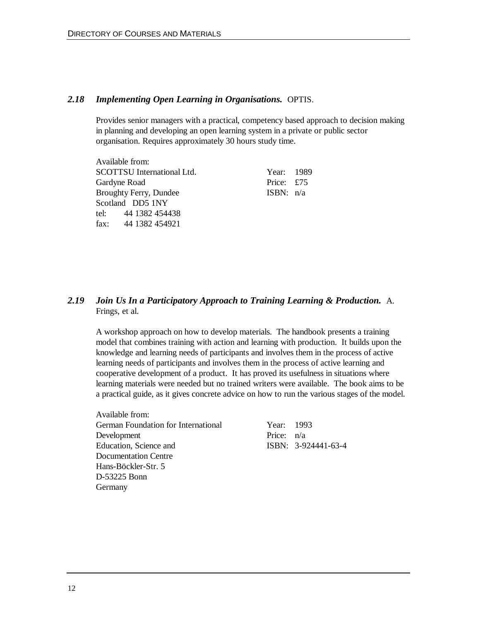#### *2.18 Implementing Open Learning in Organisations.* OPTIS.

Provides senior managers with a practical, competency based approach to decision making in planning and developing an open learning system in a private or public sector organisation. Requires approximately 30 hours study time.

Available from: SCOTTSU International Ltd. Year: 1989 Gardyne Road Price: £75 Broughty Ferry, Dundee ISBN:  $n/a$ Scotland DD5 1NY tel: 44 1382 454438 fax: 44 1382 454921

### *2.19 Join Us In a Participatory Approach to Training Learning & Production.* A. Frings, et al.

A workshop approach on how to develop materials. The handbook presents a training model that combines training with action and learning with production. It builds upon the knowledge and learning needs of participants and involves them in the process of active learning needs of participants and involves them in the process of active learning and cooperative development of a product. It has proved its usefulness in situations where learning materials were needed but no trained writers were available. The book aims to be a practical guide, as it gives concrete advice on how to run the various stages of the model.

Available from: German Foundation for International Year: 1993 Development Price:  $n/a$ Education, Science and ISBN: 3-924441-63-4 Documentation Centre Hans-Böckler-Str. 5 D-53225 Bonn Germany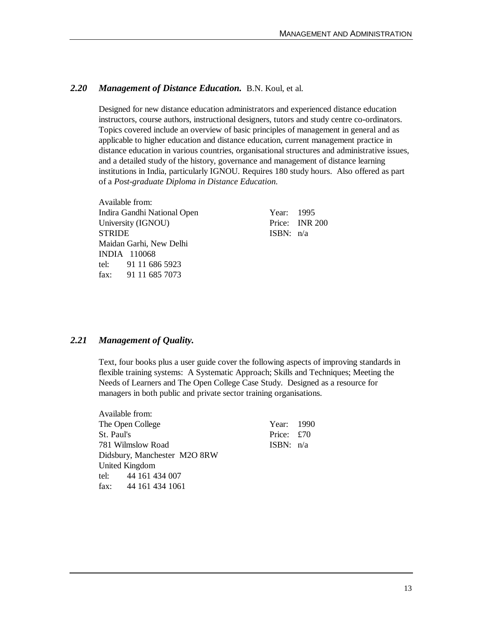### *2.20 Management of Distance Education.* B.N. Koul, et al.

Designed for new distance education administrators and experienced distance education instructors, course authors, instructional designers, tutors and study centre co-ordinators. Topics covered include an overview of basic principles of management in general and as applicable to higher education and distance education, current management practice in distance education in various countries, organisational structures and administrative issues, and a detailed study of the history, governance and management of distance learning institutions in India, particularly IGNOU. Requires 180 study hours. Also offered as part of a *Post-graduate Diploma in Distance Education.*

Available from: Indira Gandhi National Open Year: 1995 University (IGNOU) Price: INR 200 STRIDE ISBN: n/a Maidan Garhi, New Delhi INDIA 110068 tel: 91 11 686 5923 fax: 91 11 685 7073

### *2.21 Management of Quality.*

Text, four books plus a user guide cover the following aspects of improving standards in flexible training systems: A Systematic Approach; Skills and Techniques; Meeting the Needs of Learners and The Open College Case Study. Designed as a resource for managers in both public and private sector training organisations.

| Available from:              |             |  |
|------------------------------|-------------|--|
| The Open College             | Year: 1990  |  |
| St. Paul's                   | Price: £70  |  |
| 781 Wilmslow Road            | ISBN: $n/a$ |  |
| Didsbury, Manchester M2O 8RW |             |  |
| United Kingdom               |             |  |
| tel: 44 161 434 007          |             |  |
| fax: $441614341061$          |             |  |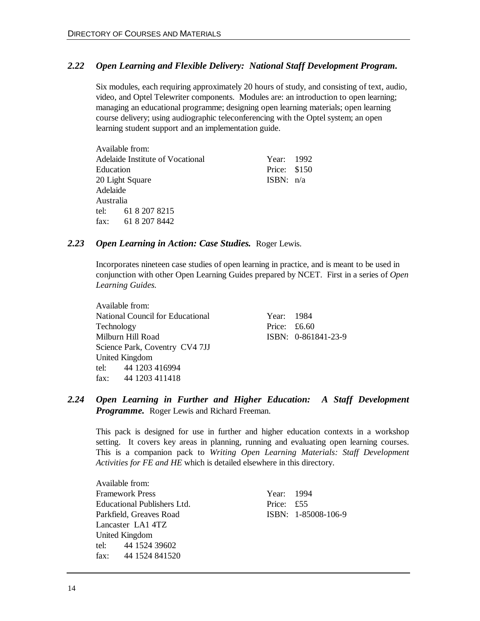### *2.22 Open Learning and Flexible Delivery: National Staff Development Program.*

Six modules, each requiring approximately 20 hours of study, and consisting of text, audio, video, and Optel Telewriter components. Modules are: an introduction to open learning; managing an educational programme; designing open learning materials; open learning course delivery; using audiographic teleconferencing with the Optel system; an open learning student support and an implementation guide.

|           | Available from:                  |              |  |
|-----------|----------------------------------|--------------|--|
|           | Adelaide Institute of Vocational | Year: 1992   |  |
| Education |                                  | Price: \$150 |  |
|           | 20 Light Square                  | ISBN: $n/a$  |  |
| Adelaide  |                                  |              |  |
| Australia |                                  |              |  |
|           | tel: 61 8 207 8215               |              |  |
|           | fax: 61 8 207 8442               |              |  |
|           |                                  |              |  |

#### *2.23 Open Learning in Action: Case Studies.* Roger Lewis.

Incorporates nineteen case studies of open learning in practice, and is meant to be used in conjunction with other Open Learning Guides prepared by NCET. First in a series of *Open Learning Guides.*

|            | Available from:                  |                |                       |
|------------|----------------------------------|----------------|-----------------------|
|            | National Council for Educational | Year: 1984     |                       |
| Technology |                                  | Price: $£6.60$ |                       |
|            | Milburn Hill Road                |                | $ISBN: 0-861841-23-9$ |
|            | Science Park, Coventry CV4 7JJ   |                |                       |
|            | United Kingdom                   |                |                       |
|            | tel: 44 1203 416994              |                |                       |
|            | fax: $441203411418$              |                |                       |
|            |                                  |                |                       |

### *2.24 Open Learning in Further and Higher Education: A Staff Development Programme.* Roger Lewis and Richard Freeman.

This pack is designed for use in further and higher education contexts in a workshop setting. It covers key areas in planning, running and evaluating open learning courses. This is a companion pack to *Writing Open Learning Materials: Staff Development Activities for FE and HE* which is detailed elsewhere in this directory.

Available from: Framework Press Year: 1994 Educational Publishers Ltd. Price: £55 Parkfield, Greaves Road ISBN: 1-85008-106-9 Lancaster LA1 4TZ United Kingdom tel: 44 1524 39602 fax: 44 1524 841520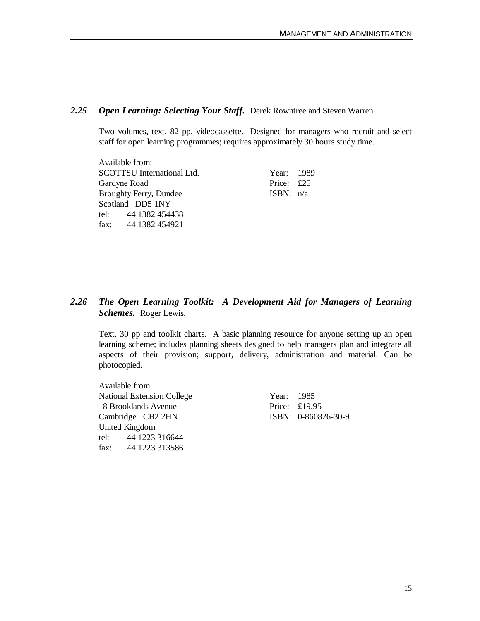#### *2.25 Open Learning: Selecting Your Staff.* Derek Rowntree and Steven Warren.

Two volumes, text, 82 pp, videocassette. Designed for managers who recruit and select staff for open learning programmes; requires approximately 30 hours study time.

Available from: SCOTTSU International Ltd. Year: 1989 Gardyne Road Price: £25 Broughty Ferry, Dundee ISBN:  $n/a$ Scotland DD5 1NY tel: 44 1382 454438 fax: 44 1382 454921

### *2.26 The Open Learning Toolkit: A Development Aid for Managers of Learning Schemes.* Roger Lewis.

Text, 30 pp and toolkit charts. A basic planning resource for anyone setting up an open learning scheme; includes planning sheets designed to help managers plan and integrate all aspects of their provision; support, delivery, administration and material. Can be photocopied.

Available from: National Extension College Year: 1985 18 Brooklands Avenue Price: £19.95 Cambridge CB2 2HN ISBN: 0-860826-30-9 United Kingdom tel: 44 1223 316644 fax: 44 1223 313586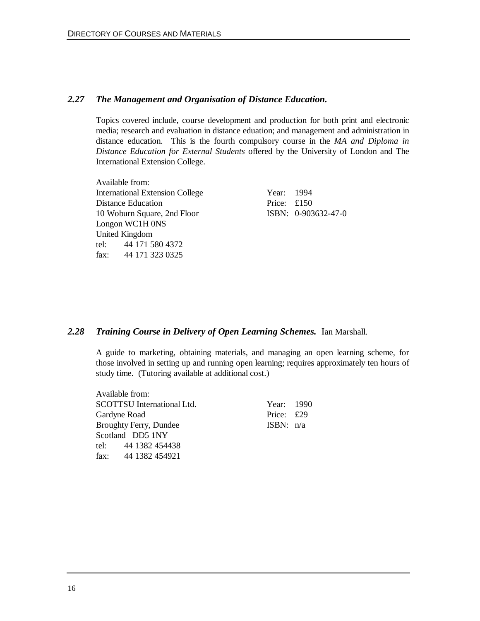### *2.27 The Management and Organisation of Distance Education.*

Topics covered include, course development and production for both print and electronic media; research and evaluation in distance eduation; and management and administration in distance education. This is the fourth compulsory course in the *MA and Diploma in Distance Education for External Students* offered by the University of London and The International Extension College.

Available from: International Extension College Year: 1994 Distance Education Price: £150 10 Woburn Square, 2nd Floor ISBN: 0-903632-47-0 Longon WC1H 0NS United Kingdom tel: 44 171 580 4372 fax: 44 171 323 0325

#### *2.28 Training Course in Delivery of Open Learning Schemes.* Ian Marshall.

A guide to marketing, obtaining materials, and managing an open learning scheme, for those involved in setting up and running open learning; requires approximately ten hours of study time. (Tutoring available at additional cost.)

| Year: 1990<br>Price: £29<br>ISBN: $n/a$ |
|-----------------------------------------|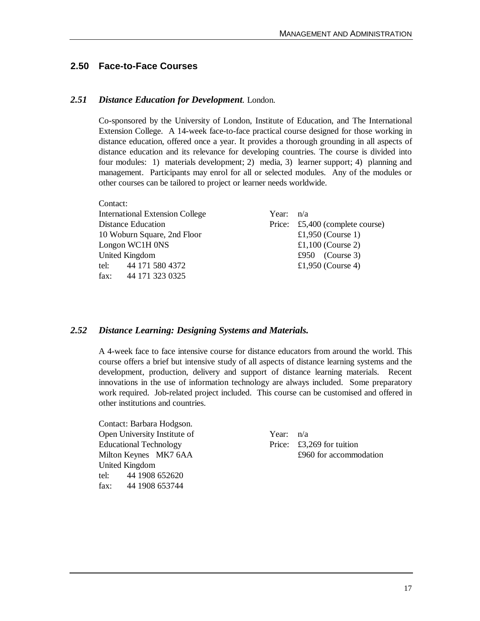### **2.50 Face-to-Face Courses**

Contact:

#### *2.51 Distance Education for Development.* London.

Co-sponsored by the University of London, Institute of Education, and The International Extension College. A 14-week face-to-face practical course designed for those working in distance education, offered once a year. It provides a thorough grounding in all aspects of distance education and its relevance for developing countries. The course is divided into four modules: 1) materials development; 2) media, 3) learner support; 4) planning and management. Participants may enrol for all or selected modules. Any of the modules or other courses can be tailored to project or learner needs worldwide.

| CONTACT: |                                        |             |                                 |
|----------|----------------------------------------|-------------|---------------------------------|
|          | <b>International Extension College</b> | Year: $n/a$ |                                 |
|          | <b>Distance Education</b>              |             | Price: £5,400 (complete course) |
|          | 10 Woburn Square, 2nd Floor            |             | £1,950 (Course 1)               |
|          | Longon WC1H 0NS                        |             | £1,100 (Course 2)               |
|          | United Kingdom                         |             | £950 (Course 3)                 |
|          | tel: 44 171 580 4372                   |             | £1,950 (Course 4)               |
| fax:     | 44 171 323 0325                        |             |                                 |

#### *2.52 Distance Learning: Designing Systems and Materials.*

A 4-week face to face intensive course for distance educators from around the world. This course offers a brief but intensive study of all aspects of distance learning systems and the development, production, delivery and support of distance learning materials. Recent innovations in the use of information technology are always included. Some preparatory work required. Job-related project included. This course can be customised and offered in other institutions and countries.

Contact: Barbara Hodgson. Open University Institute of Year:  $n/a$ Educational Technology Price: £3,269 for tuition United Kingdom tel: 44 1908 652620 fax: 44 1908 653744

Milton Keynes MK7 6AA  $\qquad \qquad \text{£960 for accommodation}$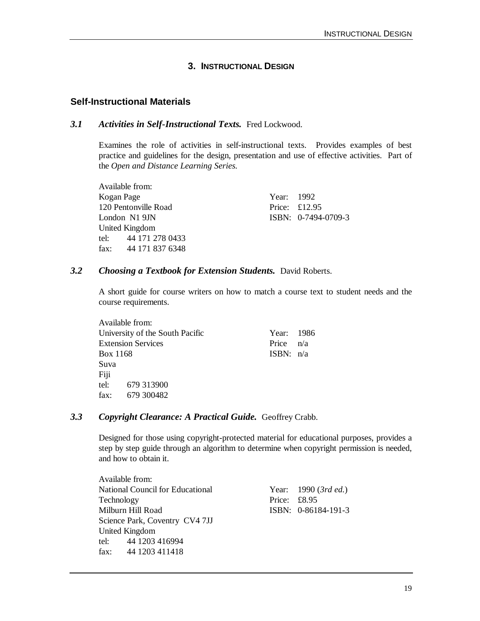### **3. INSTRUCTIONAL DESIGN**

#### **Self-Instructional Materials**

#### *3.1 Activities in Self-Instructional Texts.* Fred Lockwood.

Examines the role of activities in self-instructional texts. Provides examples of best practice and guidelines for the design, presentation and use of effective activities. Part of the *Open and Distance Learning Series.*

Available from: Kogan Page Year: 1992 120 Pentonville Road Price: £12.95 London N1 9JN ISBN: 0-7494-0709-3 United Kingdom tel: 44 171 278 0433 fax: 44 171 837 6348

#### *3.2 Choosing a Textbook for Extension Students.* David Roberts.

A short guide for course writers on how to match a course text to student needs and the course requirements.

|          | Available from:                 |             |  |
|----------|---------------------------------|-------------|--|
|          | University of the South Pacific | Year: 1986  |  |
|          | <b>Extension Services</b>       | Price $n/a$ |  |
| Box 1168 |                                 | ISBN: $n/a$ |  |
| Suva     |                                 |             |  |
| Fiji     |                                 |             |  |
|          | tel: 679 313900                 |             |  |
| fax:     | 679 300482                      |             |  |

#### *3.3 Copyright Clearance: A Practical Guide.* Geoffrey Crabb.

Designed for those using copyright-protected material for educational purposes, provides a step by step guide through an algorithm to determine when copyright permission is needed, and how to obtain it.

| Available from:     |                                         |                |                        |
|---------------------|-----------------------------------------|----------------|------------------------|
|                     | <b>National Council for Educational</b> |                | Year: $1990$ (3rd ed.) |
| Technology          |                                         | Price: $£8.95$ |                        |
| Milburn Hill Road   |                                         |                | ISBN: 0-86184-191-3    |
|                     | Science Park, Coventry CV4 7JJ          |                |                        |
| United Kingdom      |                                         |                |                        |
| tel: 44 1203 416994 |                                         |                |                        |
| fax: $441203411418$ |                                         |                |                        |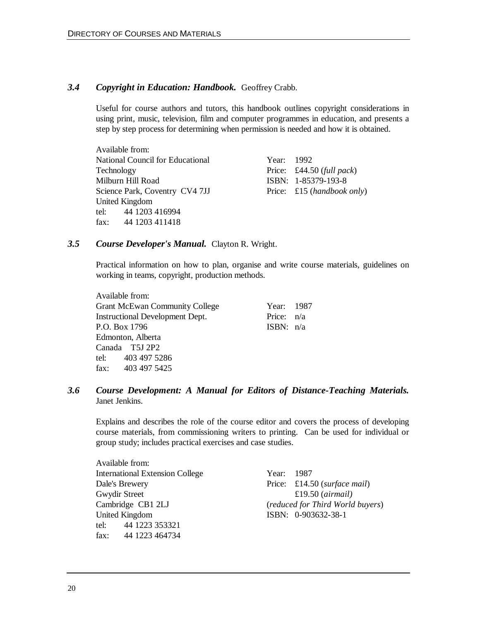### *3.4 Copyright in Education: Handbook.* Geoffrey Crabb.

Useful for course authors and tutors, this handbook outlines copyright considerations in using print, music, television, film and computer programmes in education, and presents a step by step process for determining when permission is needed and how it is obtained.

Available from: National Council for Educational Year: 1992 Technology Price: £44.50 (*full pack*) Milburn Hill Road **ISBN: 1-85379-193-8** Science Park, Coventry CV4 7JJ Price: £15 (*handbook only*) United Kingdom tel: 44 1203 416994 fax: 44 1203 411418

#### *3.5 Course Developer's Manual.* Clayton R. Wright.

Practical information on how to plan, organise and write course materials, guidelines on working in teams, copyright, production methods.

| Available from:                       |              |             |
|---------------------------------------|--------------|-------------|
| <b>Grant McEwan Community College</b> | Year: 1987   |             |
| Instructional Development Dept.       | Price: $n/a$ |             |
| P.O. Box 1796                         |              | ISBN: $n/a$ |
| Edmonton, Alberta                     |              |             |
| Canada T5J 2P2                        |              |             |
| tel: 403 497 5286                     |              |             |
| fax: 403 497 5425                     |              |             |

### *3.6 Course Development: A Manual for Editors of Distance-Teaching Materials.* Janet Jenkins.

Explains and describes the role of the course editor and covers the process of developing course materials, from commissioning writers to printing. Can be used for individual or group study; includes practical exercises and case studies.

| Available from:                        |            |                                  |
|----------------------------------------|------------|----------------------------------|
| <b>International Extension College</b> | Year: 1987 |                                  |
| Dale's Brewery                         |            | Price: £14.50 (surface mail)     |
| Gwydir Street                          |            | £19.50 $(airmail)$               |
| Cambridge CB1 2LJ                      |            | (reduced for Third World buyers) |
| United Kingdom                         |            | ISBN: 0-903632-38-1              |
| tel: 44 1223 353321                    |            |                                  |
| fax: $441223464734$                    |            |                                  |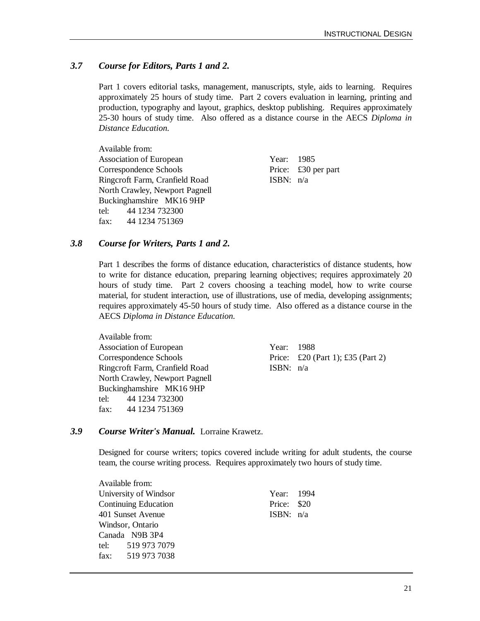### *3.7 Course for Editors, Parts 1 and 2.*

Part 1 covers editorial tasks, management, manuscripts, style, aids to learning. Requires approximately 25 hours of study time. Part 2 covers evaluation in learning, printing and production, typography and layout, graphics, desktop publishing. Requires approximately 25-30 hours of study time. Also offered as a distance course in the AECS *Diploma in Distance Education.*

Available from: Association of European Year: 1985 Correspondence Schools Price: £30 per part Ringcroft Farm, Cranfield Road ISBN:  $n/a$ North Crawley, Newport Pagnell Buckinghamshire MK16 9HP tel: 44 1234 732300 fax: 44 1234 751369

#### *3.8 Course for Writers, Parts 1 and 2.*

Part 1 describes the forms of distance education, characteristics of distance students, how to write for distance education, preparing learning objectives; requires approximately 20 hours of study time. Part 2 covers choosing a teaching model, how to write course material, for student interaction, use of illustrations, use of media, developing assignments; requires approximately 45-50 hours of study time. Also offered as a distance course in the AECS *Diploma in Distance Education.*

| Available from:                |             |                                   |
|--------------------------------|-------------|-----------------------------------|
| <b>Association of European</b> | Year: 1988  |                                   |
| Correspondence Schools         |             | Price: £20 (Part 1); £35 (Part 2) |
| Ringcroft Farm, Cranfield Road | ISBN: $n/a$ |                                   |
| North Crawley, Newport Pagnell |             |                                   |
| Buckinghamshire MK16 9HP       |             |                                   |
| tel: 44 1234 732300            |             |                                   |
| fax: 44 1234 751369            |             |                                   |

### *3.9 Course Writer's Manual.* Lorraine Krawetz.

Designed for course writers; topics covered include writing for adult students, the course team, the course writing process. Requires approximately two hours of study time.

| Available from:             |             |  |
|-----------------------------|-------------|--|
| University of Windsor       | Year: 1994  |  |
| <b>Continuing Education</b> | Price: \$20 |  |
| 401 Sunset Avenue           | ISBN: $n/a$ |  |
| Windsor, Ontario            |             |  |
| Canada N9B 3P4              |             |  |
| tel: 519 973 7079           |             |  |
| fax: 519 973 7038           |             |  |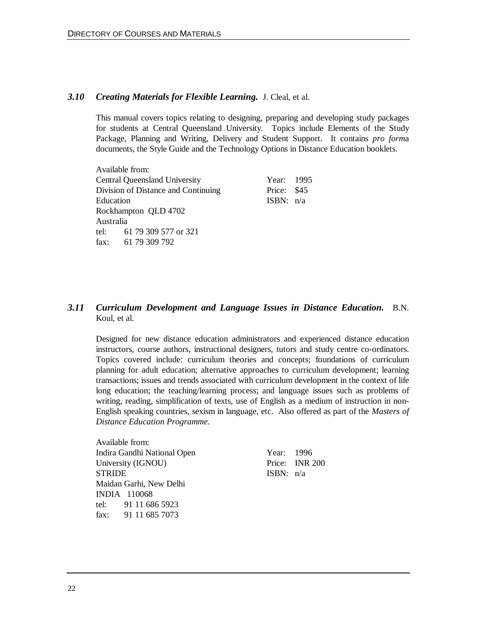#### *3.10 Creating Materials for Flexible Learning.* J. Cleal, et al.

This manual covers topics relating to designing, preparing and developing study packages for students at Central Queensland University. Topics include Elements of the Study Package, Planning and Writing, Delivery and Student Support. It contains *pro form*a documents, the Style Guide and the Technology Options in Distance Education booklets.

Available from: Central Queensland University Year: 1995 Division of Distance and Continuing Price: \$45 Education ISBN:  $n/a$ Rockhampton QLD 4702 Australia tel: 61 79 309 577 or 321 fax: 61 79 309 792

### *3.11 Curriculum Development and Language Issues in Distance Education.* B.N. Koul, et al.

Designed for new distance education administrators and experienced distance education instructors, course authors, instructional designers, tutors and study centre co-ordinators. Topics covered include: curriculum theories and concepts; foundations of curriculum planning for adult education; alternative approaches to curriculum development; learning transactions; issues and trends associated with curriculum development in the context of life long education; the teaching/learning process; and language issues such as problems of writing, reading, simplification of texts, use of English as a medium of instruction in non-English speaking countries, sexism in language, etc. Also offered as part of the *Masters of Distance Education Programme.*

Available from: Indira Gandhi National Open Year: 1996 University (IGNOU) Price: INR 200 STRIDE ISBN: n/a Maidan Garhi, New Delhi INDIA 110068 tel: 91 11 686 5923 fax: 91 11 685 7073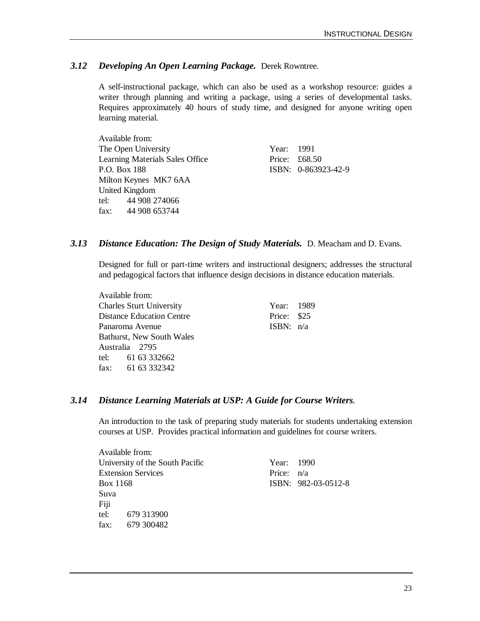### *3.12 Developing An Open Learning Package.* Derek Rowntree.

A self-instructional package, which can also be used as a workshop resource: guides a writer through planning and writing a package, using a series of developmental tasks. Requires approximately 40 hours of study time, and designed for anyone writing open learning material.

Available from: The Open University Year: 1991 Learning Materials Sales Office Price: £68.50 P.O. Box 188 **ISBN:** 0-863923-42-9 Milton Keynes MK7 6AA United Kingdom tel: 44 908 274066 fax: 44 908 653744

#### *3.13 Distance Education: The Design of Study Materials.* D. Meacham and D. Evans.

Designed for full or part-time writers and instructional designers; addresses the structural and pedagogical factors that influence design decisions in distance education materials.

Available from: Charles Sturt University Year: 1989 Distance Education Centre Price: \$25 Panaroma Avenue ISBN: n/a Bathurst, New South Wales Australia 2795 tel: 61 63 332662 fax: 61 63 332342

### *3.14 Distance Learning Materials at USP: A Guide for Course Writers.*

An introduction to the task of preparing study materials for students undertaking extension courses at USP. Provides practical information and guidelines for course writers.

|          | Available from:                 |              |                     |
|----------|---------------------------------|--------------|---------------------|
|          | University of the South Pacific | Year: 1990   |                     |
|          | <b>Extension Services</b>       | Price: $n/a$ |                     |
| Box 1168 |                                 |              | ISBN: 982-03-0512-8 |
| Suva     |                                 |              |                     |
| Fiji     |                                 |              |                     |
| tel:     | 679 313900                      |              |                     |
| fax:     | 679 300482                      |              |                     |
|          |                                 |              |                     |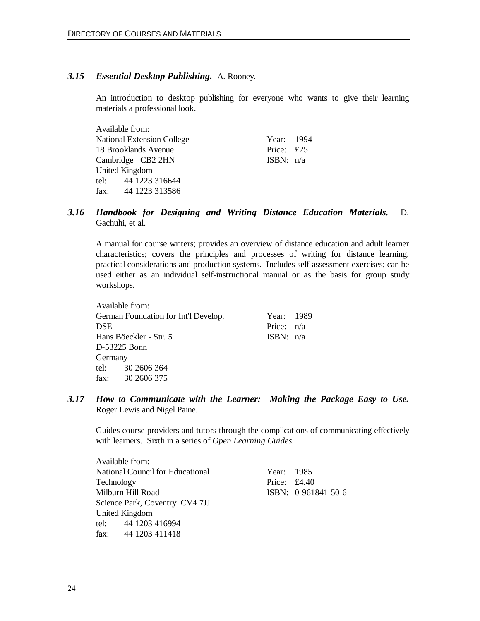$A = 11.111$ 

#### *3.15 Essential Desktop Publishing.* A. Rooney.

An introduction to desktop publishing for everyone who wants to give their learning materials a professional look.

| Available from:                   |             |  |
|-----------------------------------|-------------|--|
| <b>National Extension College</b> | Year: 1994  |  |
| 18 Brooklands Avenue              | Price: £25  |  |
| Cambridge CB2 2HN                 | ISBN: $n/a$ |  |
| <b>United Kingdom</b>             |             |  |
| tel: 44 1223 316644               |             |  |
| fax: 44 1223 313586               |             |  |
|                                   |             |  |

### *3.16 Handbook for Designing and Writing Distance Education Materials.* D. Gachuhi, et al.

A manual for course writers; provides an overview of distance education and adult learner characteristics; covers the principles and processes of writing for distance learning, practical considerations and production systems. Includes self-assessment exercises; can be used either as an individual self-instructional manual or as the basis for group study workshops.

|            | Available from:                      |              |  |
|------------|--------------------------------------|--------------|--|
|            | German Foundation for Int'l Develop. | Year: 1989   |  |
| <b>DSE</b> |                                      | Price: $n/a$ |  |
|            | Hans Böeckler - Str. 5               | ISBN: n/a    |  |
|            | D-53225 Bonn                         |              |  |
| Germany    |                                      |              |  |
|            | tel: 30 2606 364                     |              |  |
|            | fax: $30\,2606\,375$                 |              |  |
|            |                                      |              |  |

*3.17 How to Communicate with the Learner: Making the Package Easy to Use.* Roger Lewis and Nigel Paine.

Guides course providers and tutors through the complications of communicating effectively with learners. Sixth in a series of *Open Learning Guides.*

Available from: National Council for Educational Vear: 1985 Technology Price: £4.40 Milburn Hill Road ISBN: 0-961841-50-6 Science Park, Coventry CV4 7JJ United Kingdom tel: 44 1203 416994 fax: 44 1203 411418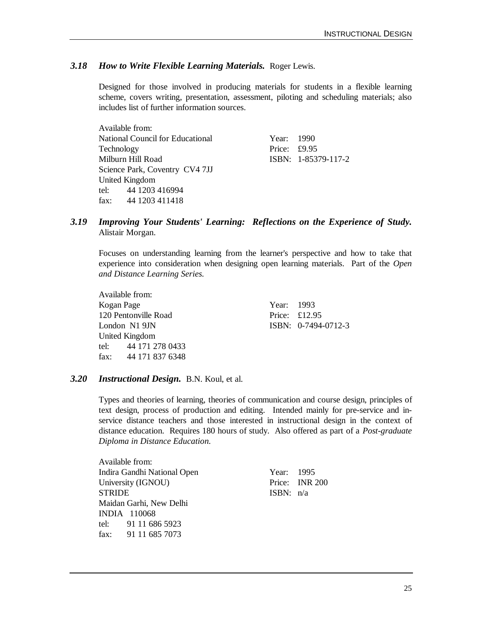#### *3.18 How to Write Flexible Learning Materials.* Roger Lewis.

Designed for those involved in producing materials for students in a flexible learning scheme, covers writing, presentation, assessment, piloting and scheduling materials; also includes list of further information sources.

|            | Available from:                         |                |                     |
|------------|-----------------------------------------|----------------|---------------------|
|            | <b>National Council for Educational</b> | Year: 1990     |                     |
| Technology |                                         | Price: $£9.95$ |                     |
|            | Milburn Hill Road                       |                | ISBN: 1-85379-117-2 |
|            | Science Park, Coventry CV4 7JJ          |                |                     |
|            | United Kingdom                          |                |                     |
|            | tel: 44 1203 416994                     |                |                     |
|            | fax: 44 1203 411418                     |                |                     |

#### *3.19 Improving Your Students' Learning: Reflections on the Experience of Study.* Alistair Morgan.

Focuses on understanding learning from the learner's perspective and how to take that experience into consideration when designing open learning materials. Part of the *Open and Distance Learning Series.*

Available from: Kogan Page Year: 1993 120 Pentonville Road Price: £12.95 London N1 9JN ISBN: 0-7494-0712-3 United Kingdom tel: 44 171 278 0433 fax: 44 171 837 6348

 $A = \frac{1}{2}$ 

#### *3.20 Instructional Design.* B.N. Koul, et al.

Types and theories of learning, theories of communication and course design, principles of text design, process of production and editing. Intended mainly for pre-service and inservice distance teachers and those interested in instructional design in the context of distance education. Requires 180 hours of study. Also offered as part of a *Post-graduate Diploma in Distance Education.*

Available from: Indira Gandhi National Open Year: 1995 University (IGNOU) Price: INR 200 STRIDE ISBN: n/a Maidan Garhi, New Delhi INDIA 110068 tel: 91 11 686 5923 fax: 91 11 685 7073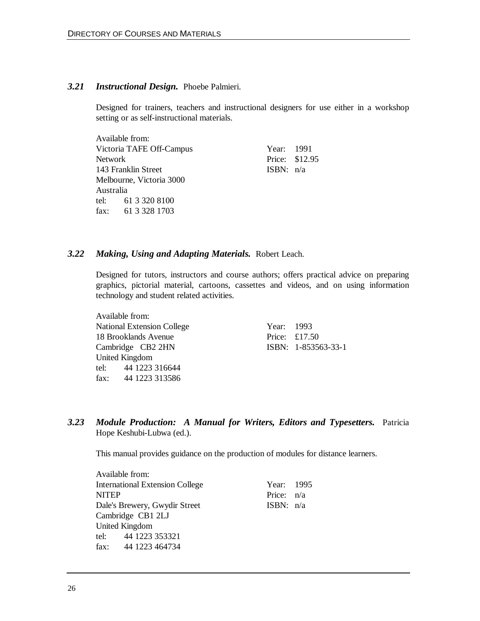#### *3.21 Instructional Design.* Phoebe Palmieri.

Designed for trainers, teachers and instructional designers for use either in a workshop setting or as self-instructional materials.

Available from: Victoria TAFE Off-Campus Year: 1991 Network Price: \$12.95 143 Franklin Street ISBN: n/a Melbourne, Victoria 3000 Australia tel: 61 3 320 8100 fax: 61 3 328 1703

#### *3.22 Making, Using and Adapting Materials.* Robert Leach.

Designed for tutors, instructors and course authors; offers practical advice on preparing graphics, pictorial material, cartoons, cassettes and videos, and on using information technology and student related activities.

Available from: National Extension College Year: 1993 18 Brooklands Avenue Price: £17.50 Cambridge CB2 2HN ISBN: 1-853563-33-1 United Kingdom tel: 44 1223 316644 fax: 44 1223 313586

*3.23 Module Production: A Manual for Writers, Editors and Typesetters.* Patricia Hope Keshubi-Lubwa (ed.).

This manual provides guidance on the production of modules for distance learners.

|              | Available from:                        |              |  |
|--------------|----------------------------------------|--------------|--|
|              | <b>International Extension College</b> | Year: 1995   |  |
| <b>NITEP</b> |                                        | Price: $n/a$ |  |
|              | Dale's Brewery, Gwydir Street          | ISBN: $n/a$  |  |
|              | Cambridge CB1 2LJ                      |              |  |
|              | <b>United Kingdom</b>                  |              |  |
|              | tel: 44 1223 353321                    |              |  |
|              | fax: 44 1223 464734                    |              |  |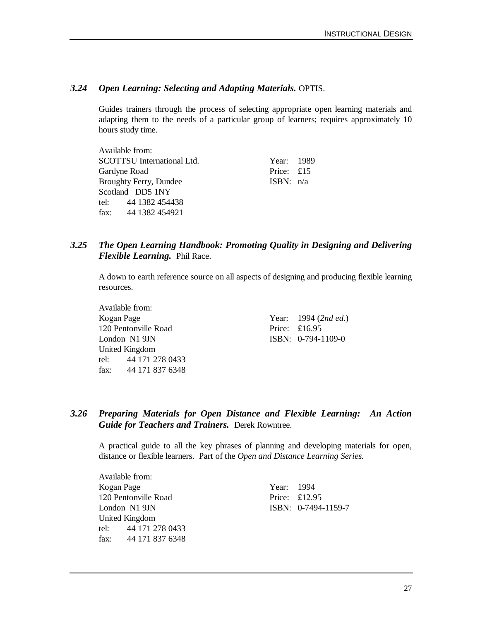### *3.24 Open Learning: Selecting and Adapting Materials.* OPTIS.

Guides trainers through the process of selecting appropriate open learning materials and adapting them to the needs of a particular group of learners; requires approximately 10 hours study time.

| Available from:                   |             |  |
|-----------------------------------|-------------|--|
| <b>SCOTTSU</b> International Ltd. | Year: 1989  |  |
| Gardyne Road                      | Price: £15  |  |
| <b>Broughty Ferry, Dundee</b>     | ISBN: $n/a$ |  |
| Scotland DD5 1NY                  |             |  |
| tel: 44 1382 454438               |             |  |
| fax: 44 1382 454921               |             |  |

### *3.25 The Open Learning Handbook: Promoting Quality in Designing and Delivering Flexible Learning.* Phil Race.

A down to earth reference source on all aspects of designing and producing flexible learning resources.

Available from: Kogan Page Year: 1994 (2nd ed.) 120 Pentonville Road Price: £16.95 London N1 9JN ISBN: 0-794-1109-0 United Kingdom tel: 44 171 278 0433 fax: 44 171 837 6348

### *3.26 Preparing Materials for Open Distance and Flexible Learning: An Action Guide for Teachers and Trainers.* Derek Rowntree.

A practical guide to all the key phrases of planning and developing materials for open, distance or flexible learners. Part of the *Open and Distance Learning Series.*

| Available from:      |            |                     |
|----------------------|------------|---------------------|
| Kogan Page           | Year: 1994 |                     |
| 120 Pentonville Road |            | Price: $£12.95$     |
| London N1 9JN        |            | ISBN: 0-7494-1159-7 |
| United Kingdom       |            |                     |
| tel: 44 171 278 0433 |            |                     |
| fax: 44 171 837 6348 |            |                     |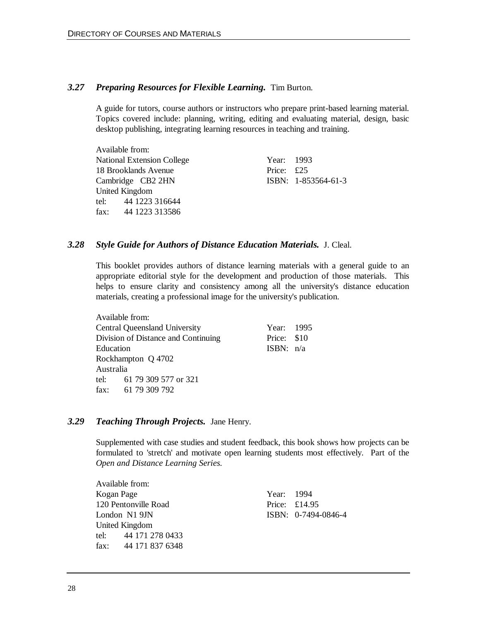#### *3.27 Preparing Resources for Flexible Learning.* Tim Burton.

A guide for tutors, course authors or instructors who prepare print-based learning material. Topics covered include: planning, writing, editing and evaluating material, design, basic desktop publishing, integrating learning resources in teaching and training.

Available from: National Extension College Year: 1993 18 Brooklands Avenue Price: £25 Cambridge CB2 2HN ISBN: 1-853564-61-3 United Kingdom tel: 44 1223 316644 fax: 44 1223 313586

#### *3.28 Style Guide for Authors of Distance Education Materials.* J. Cleal.

This booklet provides authors of distance learning materials with a general guide to an appropriate editorial style for the development and production of those materials. This helps to ensure clarity and consistency among all the university's distance education materials, creating a professional image for the university's publication.

|           | Available from:                      |             |  |
|-----------|--------------------------------------|-------------|--|
|           | <b>Central Queensland University</b> | Year: 1995  |  |
|           | Division of Distance and Continuing  | Price: \$10 |  |
| Education |                                      | ISBN: $n/a$ |  |
|           | Rockhampton Q 4702                   |             |  |
| Australia |                                      |             |  |
|           | tel: 61 79 309 577 or 321            |             |  |
|           | fax: $61\ 79\ 309\ 792$              |             |  |
|           |                                      |             |  |

#### *3.29 Teaching Through Projects.* Jane Henry.

Supplemented with case studies and student feedback, this book shows how projects can be formulated to 'stretch' and motivate open learning students most effectively. Part of the *Open and Distance Learning Series.*

|            | Available from:       |            |                     |
|------------|-----------------------|------------|---------------------|
| Kogan Page |                       | Year: 1994 |                     |
|            | 120 Pentonville Road  |            | Price: $£14.95$     |
|            | London N1 9JN         |            | ISBN: 0-7494-0846-4 |
|            | <b>United Kingdom</b> |            |                     |
|            | tel: 44 171 278 0433  |            |                     |
|            | fax: 44 171 837 6348  |            |                     |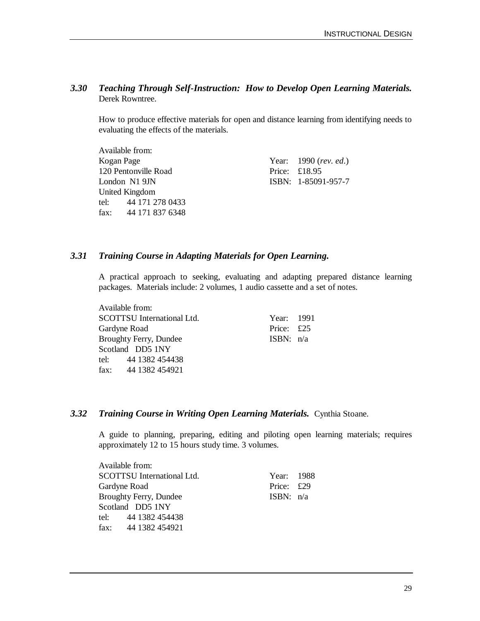### *3.30 Teaching Through Self-Instruction: How to Develop Open Learning Materials.* Derek Rowntree.

How to produce effective materials for open and distance learning from identifying needs to evaluating the effects of the materials.

| Available from:      |                         |
|----------------------|-------------------------|
| Kogan Page           | Year: $1990$ (rev. ed.) |
| 120 Pentonville Road | Price: $£18.95$         |
| London N1 9JN        | ISBN: 1-85091-957-7     |
| United Kingdom       |                         |
| tel: 44 171 278 0433 |                         |
| fax: 44 171 837 6348 |                         |

### *3.31 Training Course in Adapting Materials for Open Learning.*

A practical approach to seeking, evaluating and adapting prepared distance learning packages. Materials include: 2 volumes, 1 audio cassette and a set of notes.

Available from: SCOTTSU International Ltd. Year: 1991 Gardyne Road Price: £25 Broughty Ferry, Dundee ISBN:  $n/a$ Scotland DD5 1NY tel: 44 1382 454438 fax: 44 1382 454921

#### *3.32 Training Course in Writing Open Learning Materials.* Cynthia Stoane.

A guide to planning, preparing, editing and piloting open learning materials; requires approximately 12 to 15 hours study time. 3 volumes.

| Available from:                   |             |  |
|-----------------------------------|-------------|--|
| <b>SCOTTSU</b> International Ltd. | Year: 1988  |  |
| Gardyne Road                      | Price: £29  |  |
| <b>Broughty Ferry, Dundee</b>     | ISBN: $n/a$ |  |
| Scotland DD5 1NY                  |             |  |
| tel: 44 1382 454438               |             |  |
| fax: 44 1382 454921               |             |  |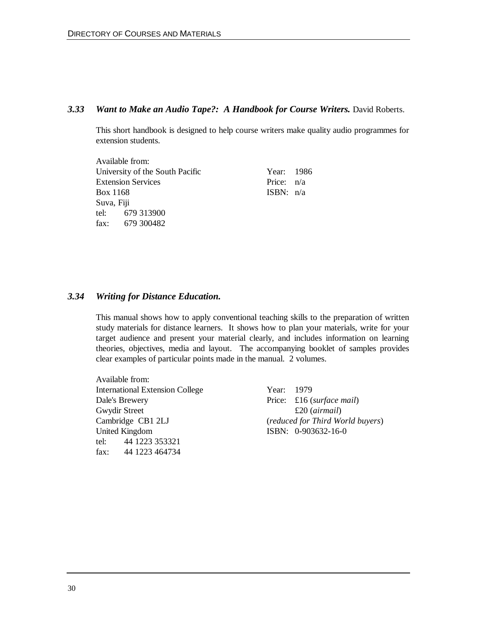#### *3.33 Want to Make an Audio Tape?: A Handbook for Course Writers.* David Roberts.

This short handbook is designed to help course writers make quality audio programmes for extension students.

|            | Available from:                 |              |  |
|------------|---------------------------------|--------------|--|
|            | University of the South Pacific | Year: 1986   |  |
|            | <b>Extension Services</b>       | Price: $n/a$ |  |
| Box 1168   |                                 | ISBN: $n/a$  |  |
| Suva, Fiji |                                 |              |  |
|            | tel: 679 313900                 |              |  |
|            | fax: 679 300482                 |              |  |

#### *3.34 Writing for Distance Education.*

This manual shows how to apply conventional teaching skills to the preparation of written study materials for distance learners. It shows how to plan your materials, write for your target audience and present your material clearly, and includes information on learning theories, objectives, media and layout. The accompanying booklet of samples provides clear examples of particular points made in the manual. 2 volumes.

Available from: International Extension College Year: 1979 Dale's Brewery Price: £16 (*surface mail*) Gwydir Street **E20** (*airmail*) United Kingdom **ISBN:** 0-903632-16-0 tel: 44 1223 353321 fax: 44 1223 464734

Cambridge CB1 2LJ (*reduced for Third World buyers*)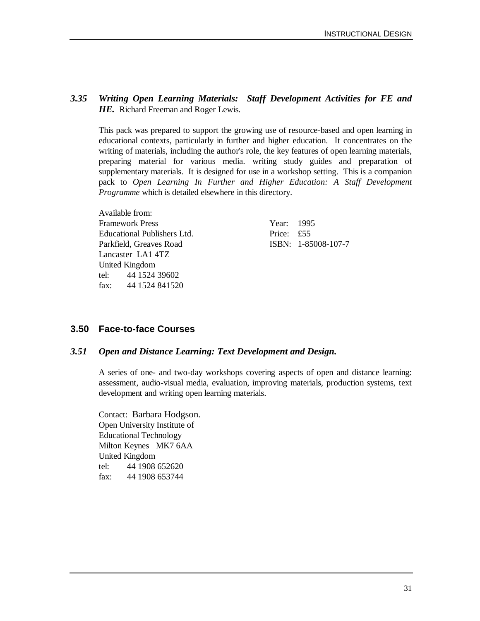### *3.35 Writing Open Learning Materials: Staff Development Activities for FE and* **HE.** Richard Freeman and Roger Lewis.

This pack was prepared to support the growing use of resource-based and open learning in educational contexts, particularly in further and higher education. It concentrates on the writing of materials, including the author's role, the key features of open learning materials, preparing material for various media. writing study guides and preparation of supplementary materials. It is designed for use in a workshop setting. This is a companion pack to *Open Learning In Further and Higher Education: A Staff Development Programme* which is detailed elsewhere in this directory.

Available from: Framework Press Year: 1995 Educational Publishers Ltd. Price: £55 Parkfield, Greaves Road ISBN: 1-85008-107-7 Lancaster LA1 4TZ United Kingdom tel: 44 1524 39602 fax: 44 1524 841520

### **3.50 Face-to-face Courses**

### *3.51 Open and Distance Learning: Text Development and Design.*

A series of one- and two-day workshops covering aspects of open and distance learning: assessment, audio-visual media, evaluation, improving materials, production systems, text development and writing open learning materials.

Contact: Barbara Hodgson. Open University Institute of Educational Technology Milton Keynes MK7 6AA United Kingdom tel: 44 1908 652620 fax: 44 1908 653744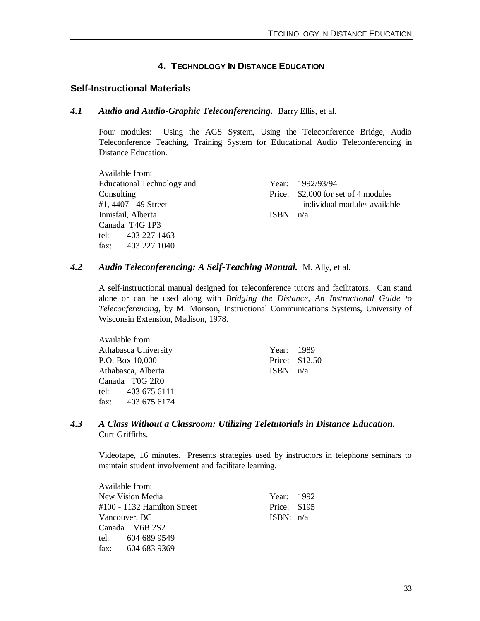### **4. TECHNOLOGY IN DISTANCE EDUCATION**

### **Self-Instructional Materials**

#### *4.1 Audio and Audio-Graphic Teleconferencing.* Barry Ellis, et al.

Four modules: Using the AGS System, Using the Teleconference Bridge, Audio Teleconference Teaching, Training System for Educational Audio Teleconferencing in Distance Education.

Available from: Educational Technology and Year: 1992/93/94 Innisfail, Alberta ISBN: n/a Canada T4G 1P3 tel: 403 227 1463 fax: 403 227 1040

Consulting Price: \$2,000 for set of 4 modules #1, 4407 - 49 Street - individual modules available

### *4.2 Audio Teleconferencing: A Self-Teaching Manual.* M. Ally, et al.

A self-instructional manual designed for teleconference tutors and facilitators. Can stand alone or can be used along with *Bridging the Distance, An Instructional Guide to Teleconferencing*, by M. Monson, Instructional Communications Systems, University of Wisconsin Extension, Madison, 1978.

Available from: Athabasca University **Year:** 1989 P.O. Box 10.000 Price: \$12.50 Athabasca, Alberta ISBN: n/a Canada T0G 2R0 tel: 403 675 6111 fax: 403 675 6174

### *4.3 A Class Without a Classroom: Utilizing Teletutorials in Distance Education.* Curt Griffiths.

Videotape, 16 minutes. Presents strategies used by instructors in telephone seminars to maintain student involvement and facilitate learning.

| Available from:             |              |  |
|-----------------------------|--------------|--|
| New Vision Media            | Year: 1992   |  |
| #100 - 1132 Hamilton Street | Price: \$195 |  |
| Vancouver, BC               | ISBN: $n/a$  |  |
| Canada V6B 2S2              |              |  |
| tel: 604 689 9549           |              |  |
| fax: 604 683 9369           |              |  |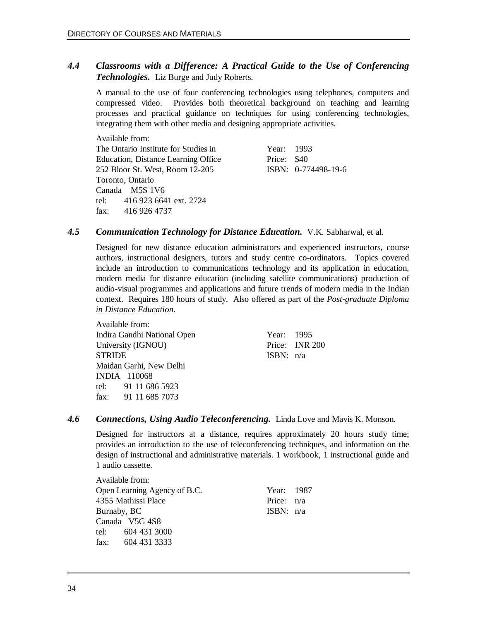### *4.4 Classrooms with a Difference: A Practical Guide to the Use of Conferencing Technologies.* Liz Burge and Judy Roberts.

A manual to the use of four conferencing technologies using telephones, computers and compressed video. Provides both theoretical background on teaching and learning processes and practical guidance on techniques for using conferencing technologies, integrating them with other media and designing appropriate activities.

Available from: The Ontario Institute for Studies in Year: 1993 Education, Distance Learning Office Price: \$40 252 Bloor St. West, Room 12-205 ISBN: 0-774498-19-6 Toronto, Ontario Canada M5S 1V6 tel: 416 923 6641 ext. 2724 fax: 416 926 4737

#### *4.5 Communication Technology for Distance Education.* V.K. Sabharwal, et al.

Designed for new distance education administrators and experienced instructors, course authors, instructional designers, tutors and study centre co-ordinators. Topics covered include an introduction to communications technology and its application in education, modern media for distance education (including satellite communications) production of audio-visual programmes and applications and future trends of modern media in the Indian context. Requires 180 hours of study. Also offered as part of the *Post-graduate Diploma in Distance Education.*

| Available from:             |            |                |
|-----------------------------|------------|----------------|
| Indira Gandhi National Open | Year: 1995 |                |
| University (IGNOU)          |            | Price: INR 200 |
| <b>STRIDE</b>               | ISBN: n/a  |                |
| Maidan Garhi, New Delhi     |            |                |
| <b>INDIA</b> 110068         |            |                |
| tel: 91 11 686 5923         |            |                |
| fax: 91 11 685 7073         |            |                |

### *4.6 Connections, Using Audio Teleconferencing.* Linda Love and Mavis K. Monson.

Designed for instructors at a distance, requires approximately 20 hours study time; provides an introduction to the use of teleconferencing techniques, and information on the design of instructional and administrative materials. 1 workbook, 1 instructional guide and 1 audio cassette.

| Available from:              |              |  |
|------------------------------|--------------|--|
| Open Learning Agency of B.C. | Year: 1987   |  |
| 4355 Mathissi Place          | Price: $n/a$ |  |
| Burnaby, BC                  | ISBN: $n/a$  |  |
| Canada V5G 4S8               |              |  |
| tel: 604 431 3000            |              |  |
| fax: $604\,431\,3333$        |              |  |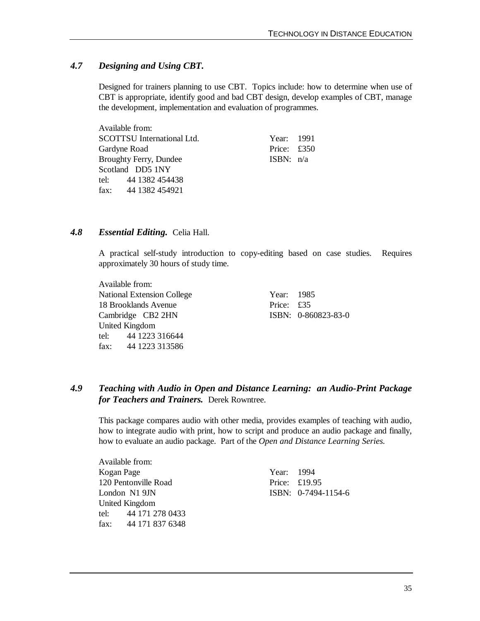### *4.7 Designing and Using CBT.*

Designed for trainers planning to use CBT. Topics include: how to determine when use of CBT is appropriate, identify good and bad CBT design, develop examples of CBT, manage the development, implementation and evaluation of programmes.

| Available from:                   |               |  |
|-----------------------------------|---------------|--|
| <b>SCOTTSU</b> International Ltd. | Year: 1991    |  |
| Gardyne Road                      | Price: $£350$ |  |
| <b>Broughty Ferry, Dundee</b>     | ISBN: $n/a$   |  |
| Scotland DD5 1NY                  |               |  |
| tel: 44 1382 454438               |               |  |
| fax: $441382454921$               |               |  |

#### *4.8 Essential Editing.* Celia Hall.

A practical self-study introduction to copy-editing based on case studies. Requires approximately 30 hours of study time.

Available from: National Extension College Year: 1985 18 Brooklands Avenue Price: £35 Cambridge CB2 2HN ISBN: 0-860823-83-0 United Kingdom tel: 44 1223 316644 fax: 44 1223 313586

### *4.9 Teaching with Audio in Open and Distance Learning: an Audio-Print Package for Teachers and Trainers.* Derek Rowntree.

This package compares audio with other media, provides examples of teaching with audio, how to integrate audio with print, how to script and produce an audio package and finally, how to evaluate an audio package. Part of the *Open and Distance Learning Series.*

Available from: Kogan Page Year: 1994 120 Pentonville Road Price: £19.95 London N1 9JN ISBN: 0-7494-1154-6 United Kingdom tel: 44 171 278 0433 fax: 44 171 837 6348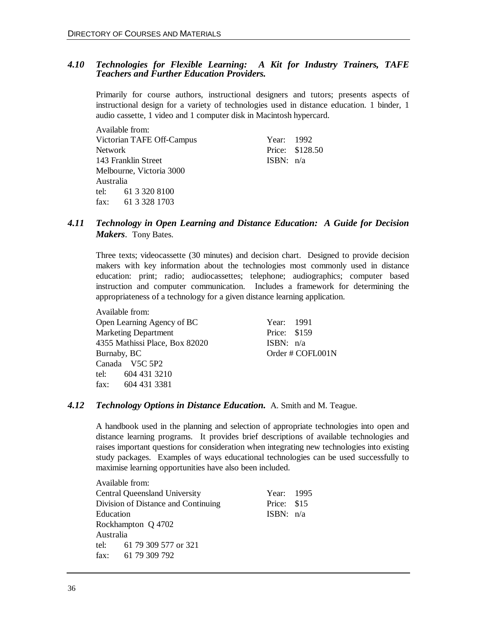#### *4.10 Technologies for Flexible Learning: A Kit for Industry Trainers, TAFE Teachers and Further Education Providers.*

Primarily for course authors, instructional designers and tutors; presents aspects of instructional design for a variety of technologies used in distance education. 1 binder, 1 audio cassette, 1 video and 1 computer disk in Macintosh hypercard.

|           | Available from:           |             |                 |  |
|-----------|---------------------------|-------------|-----------------|--|
|           | Victorian TAFE Off-Campus | Year: 1992  |                 |  |
| Network   |                           |             | Price: \$128.50 |  |
|           | 143 Franklin Street       | ISBN: $n/a$ |                 |  |
|           | Melbourne, Victoria 3000  |             |                 |  |
| Australia |                           |             |                 |  |
|           | tel: 61 3 320 8100        |             |                 |  |
|           | fax: 61 3 328 1703        |             |                 |  |
|           |                           |             |                 |  |

### *4.11 Technology in Open Learning and Distance Education: A Guide for Decision Makers*. Tony Bates.

Three texts; videocassette (30 minutes) and decision chart. Designed to provide decision makers with key information about the technologies most commonly used in distance education: print; radio; audiocassettes; telephone; audiographics; computer based instruction and computer communication. Includes a framework for determining the appropriateness of a technology for a given distance learning application.

Available from: Open Learning Agency of BC Year: 1991 Marketing Department Price: \$159 4355 Mathissi Place, Box 82020 ISBN: n/a Burnaby, BC Order # COFL001N Canada V5C 5P2 tel: 604 431 3210 fax: 604 431 3381

#### *4.12 Technology Options in Distance Education.* A. Smith and M. Teague.

A handbook used in the planning and selection of appropriate technologies into open and distance learning programs. It provides brief descriptions of available technologies and raises important questions for consideration when integrating new technologies into existing study packages. Examples of ways educational technologies can be used successfully to maximise learning opportunities have also been included.

|           | Available from:                      |             |  |
|-----------|--------------------------------------|-------------|--|
|           | <b>Central Queensland University</b> | Year: 1995  |  |
|           | Division of Distance and Continuing  | Price: \$15 |  |
| Education |                                      | ISBN: $n/a$ |  |
|           | Rockhampton Q 4702                   |             |  |
| Australia |                                      |             |  |
|           | tel: 61 79 309 577 or 321            |             |  |
|           | fax: $61\ 79\ 309\ 792$              |             |  |
|           |                                      |             |  |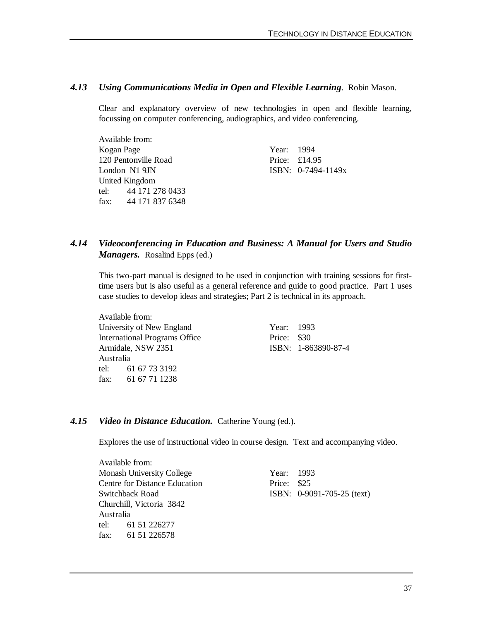### *4.13 Using Communications Media in Open and Flexible Learning*. Robin Mason.

Clear and explanatory overview of new technologies in open and flexible learning, focussing on computer conferencing, audiographics, and video conferencing.

| Available from:       |            |                      |
|-----------------------|------------|----------------------|
| Kogan Page            | Year: 1994 |                      |
| 120 Pentonville Road  |            | Price: $£14.95$      |
| London N1 9JN         |            | ISBN: $0-7494-1149x$ |
| <b>United Kingdom</b> |            |                      |
| tel: 44 171 278 0433  |            |                      |
| fax: 44 171 837 6348  |            |                      |

### *4.14 Videoconferencing in Education and Business: A Manual for Users and Studio Managers.* Rosalind Epps (ed.)

This two-part manual is designed to be used in conjunction with training sessions for firsttime users but is also useful as a general reference and guide to good practice. Part 1 uses case studies to develop ideas and strategies; Part 2 is technical in its approach.

Available from: University of New England Year: 1993 International Programs Office Price: \$30 Armidale, NSW 2351 ISBN: 1-863890-87-4 Australia tel: 61 67 73 3192 fax: 61 67 71 1238

#### *4.15 Video in Distance Education.* Catherine Young (ed.).

Explores the use of instructional video in course design. Text and accompanying video.

Available from: Monash University College Year: 1993 Centre for Distance Education Price: \$25 Switchback Road **ISBN:** 0-9091-705-25 (text) Churchill, Victoria 3842 Australia tel: 61 51 226277 fax: 61 51 226578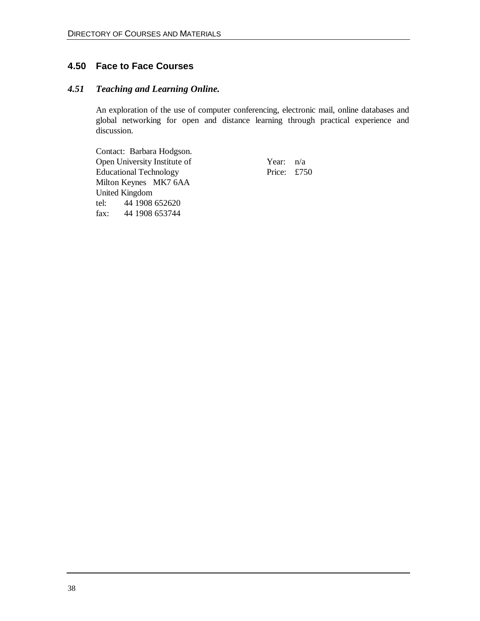### **4.50 Face to Face Courses**

### *4.51 Teaching and Learning Online.*

An exploration of the use of computer conferencing, electronic mail, online databases and global networking for open and distance learning through practical experience and discussion.

Contact: Barbara Hodgson. Open University Institute of Year: n/a Educational Technology Price: £750 Milton Keynes MK7 6AA United Kingdom tel: 44 1908 652620 fax: 44 1908 653744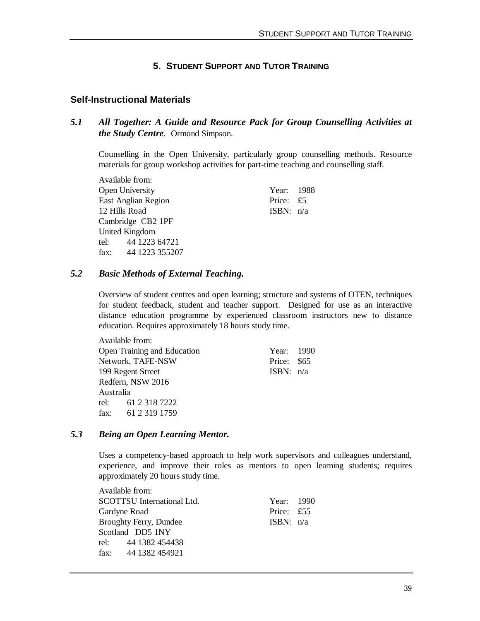### **5. STUDENT SUPPORT AND TUTOR TRAINING**

### **Self-Instructional Materials**

### *5.1 All Together: A Guide and Resource Pack for Group Counselling Activities at the Study Centre.* Ormond Simpson.

Counselling in the Open University, particularly group counselling methods. Resource materials for group workshop activities for part-time teaching and counselling staff.

Available from: Open University Year: 1988 East Anglian Region Price: £5 12 Hills Road ISBN: n/a Cambridge CB2 1PF United Kingdom tel: 44 1223 64721 fax: 44 1223 355207

### *5.2 Basic Methods of External Teaching.*

Overview of student centres and open learning; structure and systems of OTEN, techniques for student feedback, student and teacher support. Designed for use as an interactive distance education programme by experienced classroom instructors new to distance education. Requires approximately 18 hours study time.

|           | Available from:                    |             |  |
|-----------|------------------------------------|-------------|--|
|           | <b>Open Training and Education</b> | Year: 1990  |  |
|           | Network, TAFE-NSW                  | Price: \$65 |  |
|           | 199 Regent Street                  | ISBN: $n/a$ |  |
|           | Redfern, NSW 2016                  |             |  |
| Australia |                                    |             |  |
|           | tel: 61 2 318 7222                 |             |  |
|           | fax: 61 2 319 1759                 |             |  |

### *5.3 Being an Open Learning Mentor.*

Uses a competency-based approach to help work supervisors and colleagues understand, experience, and improve their roles as mentors to open learning students; requires approximately 20 hours study time.

| Available from:               |             |  |
|-------------------------------|-------------|--|
| SCOTTSU International Ltd.    | Year: 1990  |  |
| Gardyne Road                  | Price: £55  |  |
| <b>Broughty Ferry, Dundee</b> | ISBN: $n/a$ |  |
| Scotland DD5 1NY              |             |  |
| tel: 44 1382 454438           |             |  |
| fax: $441382454921$           |             |  |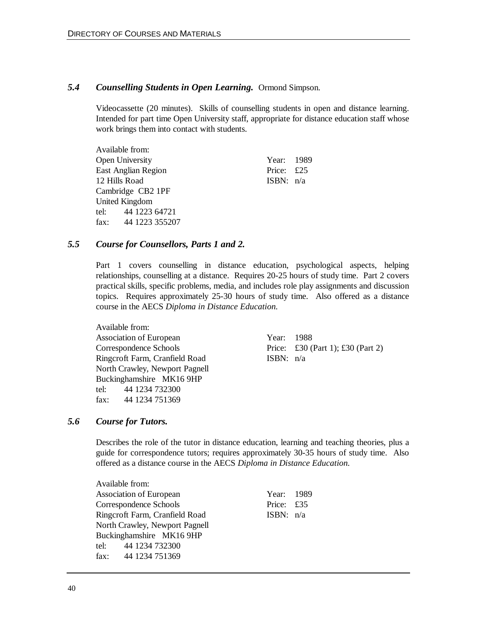#### *5.4 Counselling Students in Open Learning.* Ormond Simpson.

Videocassette (20 minutes). Skills of counselling students in open and distance learning. Intended for part time Open University staff, appropriate for distance education staff whose work brings them into contact with students.

| Available from:            |             |  |
|----------------------------|-------------|--|
| Open University            | Year: 1989  |  |
| <b>East Anglian Region</b> | Price: £25  |  |
| 12 Hills Road              | ISBN: $n/a$ |  |
| Cambridge CB2 1PF          |             |  |
| United Kingdom             |             |  |
| tel: 44 1223 64721         |             |  |
| fax: 44 1223 355207        |             |  |

### *5.5 Course for Counsellors, Parts 1 and 2.*

Part 1 covers counselling in distance education, psychological aspects, helping relationships, counselling at a distance. Requires 20-25 hours of study time. Part 2 covers practical skills, specific problems, media, and includes role play assignments and discussion topics. Requires approximately 25-30 hours of study time. Also offered as a distance course in the AECS *Diploma in Distance Education.*

Available from: Association of European Year: 1988 Correspondence Schools Price: £30 (Part 1); £30 (Part 2) Ringcroft Farm, Cranfield Road ISBN: n/a North Crawley, Newport Pagnell Buckinghamshire MK16 9HP tel: 44 1234 732300 fax: 44 1234 751369

#### *5.6 Course for Tutors.*

Describes the role of the tutor in distance education, learning and teaching theories, plus a guide for correspondence tutors; requires approximately 30-35 hours of study time. Also offered as a distance course in the AECS *Diploma in Distance Education.*

| Available from:                       |             |  |
|---------------------------------------|-------------|--|
|                                       |             |  |
| <b>Association of European</b>        | Year: 1989  |  |
| Correspondence Schools                | Price: £35  |  |
| Ringcroft Farm, Cranfield Road        | ISBN: $n/a$ |  |
| <b>North Crawley, Newport Pagnell</b> |             |  |
| Buckinghamshire MK16 9HP              |             |  |
| tel: 44 1234 732300                   |             |  |
| fax: 44 1234 751369                   |             |  |
|                                       |             |  |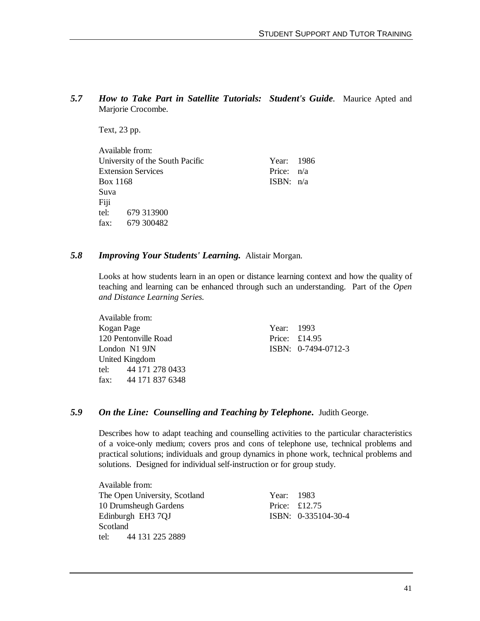*5.7 How to Take Part in Satellite Tutorials: Student's Guide.* Maurice Apted and Marjorie Crocombe.

Text, 23 pp.

| Year: 1986   |  |
|--------------|--|
| Price: $n/a$ |  |
| ISBN: $n/a$  |  |
|              |  |
|              |  |
|              |  |
|              |  |
|              |  |

#### *5.8 Improving Your Students' Learning.* Alistair Morgan.

Looks at how students learn in an open or distance learning context and how the quality of teaching and learning can be enhanced through such an understanding. Part of the *Open and Distance Learning Series.*

| Available from: |                           |            |                     |
|-----------------|---------------------------|------------|---------------------|
| Kogan Page      |                           | Year: 1993 |                     |
|                 | 120 Pentonville Road      |            | Price: £14.95       |
|                 | London N1 9JN             |            | ISBN: 0-7494-0712-3 |
|                 | United Kingdom            |            |                     |
|                 | tel: 44 171 278 0433      |            |                     |
|                 | fax: $44\ 171\ 837\ 6348$ |            |                     |

### *5.9 On the Line: Counselling and Teaching by Telephone***.** Judith George.

Describes how to adapt teaching and counselling activities to the particular characteristics of a voice-only medium; covers pros and cons of telephone use, technical problems and practical solutions; individuals and group dynamics in phone work, technical problems and solutions. Designed for individual self-instruction or for group study.

Available from: The Open University, Scotland Year: 1983 10 Drumsheugh Gardens Price: £12.75 Edinburgh EH3 7QJ ISBN: 0-335104-30-4 Scotland tel: 44 131 225 2889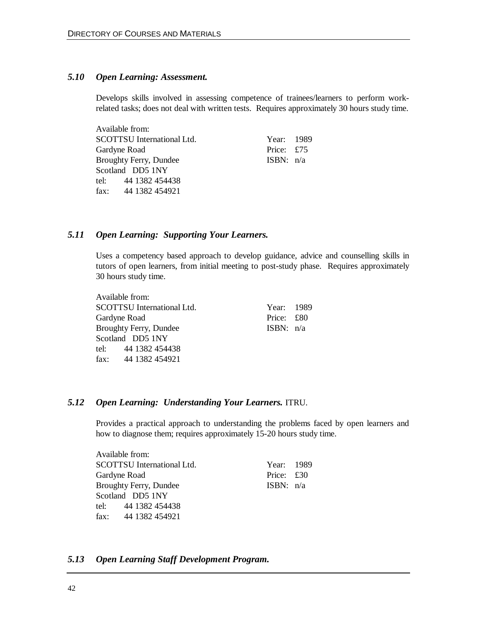#### *5.10 Open Learning: Assessment.*

Develops skills involved in assessing competence of trainees/learners to perform workrelated tasks; does not deal with written tests. Requires approximately 30 hours study time.

| Available from:                   |             |  |
|-----------------------------------|-------------|--|
| <b>SCOTTSU</b> International Ltd. | Year: 1989  |  |
| Gardyne Road                      | Price: £75  |  |
| <b>Broughty Ferry, Dundee</b>     | ISBN: $n/a$ |  |
| Scotland DD5 1NY                  |             |  |
| tel: 44 1382 454438               |             |  |
| fax: $441382454921$               |             |  |

#### *5.11 Open Learning: Supporting Your Learners.*

Uses a competency based approach to develop guidance, advice and counselling skills in tutors of open learners, from initial meeting to post-study phase. Requires approximately 30 hours study time.

Available from: SCOTTSU International Ltd. Year: 1989 Gardyne Road Price: £80 Broughty Ferry, Dundee ISBN:  $n/a$ Scotland DD5 1NY tel: 44 1382 454438 fax: 44 1382 454921

#### *5.12 Open Learning: Understanding Your Learners.* ITRU.

Provides a practical approach to understanding the problems faced by open learners and how to diagnose them; requires approximately 15-20 hours study time.

| Available from:                   |             |  |
|-----------------------------------|-------------|--|
| <b>SCOTTSU</b> International Ltd. | Year: 1989  |  |
| Gardyne Road                      | Price: £30  |  |
| <b>Broughty Ferry, Dundee</b>     | ISBN: $n/a$ |  |
| Scotland DD5 1NY                  |             |  |
| tel: 44 1382 454438               |             |  |
| fax: 44 1382 454921               |             |  |

#### *5.13 Open Learning Staff Development Program.*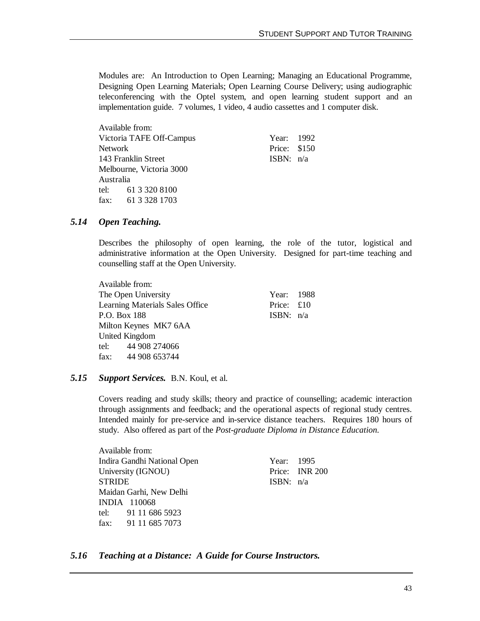Modules are: An Introduction to Open Learning; Managing an Educational Programme, Designing Open Learning Materials; Open Learning Course Delivery; using audiographic teleconferencing with the Optel system, and open learning student support and an implementation guide. 7 volumes, 1 video, 4 audio cassettes and 1 computer disk.

| Available from:          |                          |              |  |
|--------------------------|--------------------------|--------------|--|
|                          | Victoria TAFE Off-Campus | Year: 1992   |  |
| <b>Network</b>           |                          | Price: \$150 |  |
|                          | 143 Franklin Street      | ISBN: $n/a$  |  |
| Melbourne, Victoria 3000 |                          |              |  |
| Australia                |                          |              |  |
|                          | tel: $6133208100$        |              |  |
|                          | fax: $6133281703$        |              |  |

#### *5.14 Open Teaching.*

Describes the philosophy of open learning, the role of the tutor, logistical and administrative information at the Open University. Designed for part-time teaching and counselling staff at the Open University.

| Available from:                 |             |  |
|---------------------------------|-------------|--|
| The Open University             | Year: 1988  |  |
| Learning Materials Sales Office | Price: £10  |  |
| P.O. Box 188                    | ISBN: $n/a$ |  |
| Milton Keynes MK7 6AA           |             |  |
| United Kingdom                  |             |  |
| tel: 44 908 274066              |             |  |
| fax: $44908653744$              |             |  |
|                                 |             |  |

#### *5.15 Support Services.* B.N. Koul, et al.

Covers reading and study skills; theory and practice of counselling; academic interaction through assignments and feedback; and the operational aspects of regional study centres. Intended mainly for pre-service and in-service distance teachers. Requires 180 hours of study. Also offered as part of the *Post-graduate Diploma in Distance Education.*

Available from: Indira Gandhi National Open Year: 1995 University (IGNOU) Price: INR 200 STRIDE ISBN: n/a Maidan Garhi, New Delhi INDIA 110068 tel: 91 11 686 5923 fax: 91 11 685 7073

### *5.16 Teaching at a Distance: A Guide for Course Instructors.*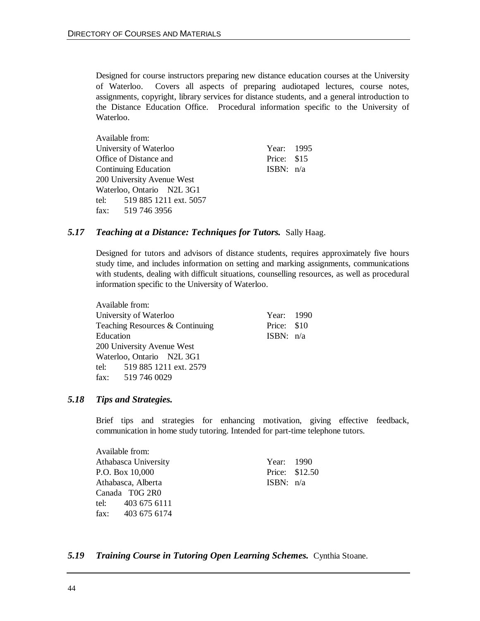Designed for course instructors preparing new distance education courses at the University of Waterloo. Covers all aspects of preparing audiotaped lectures, course notes, assignments, copyright, library services for distance students, and a general introduction to the Distance Education Office. Procedural information specific to the University of Waterloo.

|                        | Available from:             |             |  |
|------------------------|-----------------------------|-------------|--|
|                        | University of Waterloo      | Year: 1995  |  |
| Office of Distance and |                             | Price: \$15 |  |
| Continuing Education   |                             | ISBN: $n/a$ |  |
|                        | 200 University Avenue West  |             |  |
|                        | Waterloo, Ontario N2L 3G1   |             |  |
|                        | tel: 519 885 1211 ext. 5057 |             |  |
| fax: 519 746 3956      |                             |             |  |

#### *5.17 Teaching at a Distance: Techniques for Tutors.* Sally Haag.

Designed for tutors and advisors of distance students, requires approximately five hours study time, and includes information on setting and marking assignments, communications with students, dealing with difficult situations, counselling resources, as well as procedural information specific to the University of Waterloo.

|           | Available from:                 |             |  |
|-----------|---------------------------------|-------------|--|
|           | University of Waterloo          | Year: 1990  |  |
|           | Teaching Resources & Continuing | Price: \$10 |  |
| Education |                                 | ISBN: $n/a$ |  |
|           | 200 University Avenue West      |             |  |
|           | Waterloo, Ontario N2L 3G1       |             |  |
|           | tel: 519 885 1211 ext. 2579     |             |  |
|           | fax: $519\,746\,0029$           |             |  |
|           |                                 |             |  |

#### *5.18 Tips and Strategies.*

Brief tips and strategies for enhancing motivation, giving effective feedback, communication in home study tutoring. Intended for part-time telephone tutors.

Available from: Athabasca University Year: 1990 P.O. Box 10,000 Price: \$12.50 Athabasca, Alberta ISBN: n/a Canada T0G 2R0 tel: 403 675 6111 fax: 403 675 6174

#### *5.19 Training Course in Tutoring Open Learning Schemes.* Cynthia Stoane.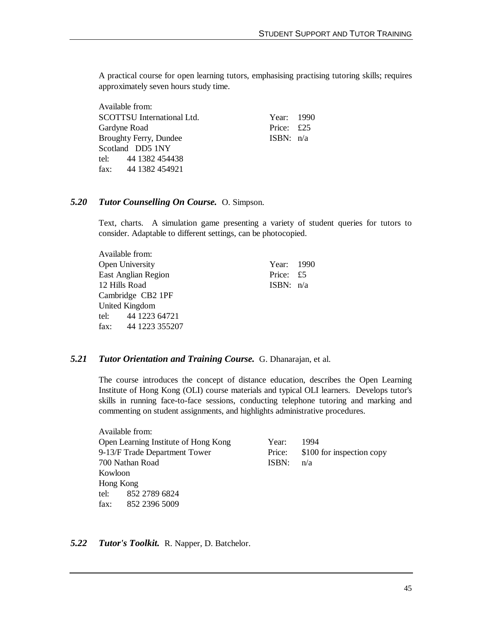A practical course for open learning tutors, emphasising practising tutoring skills; requires approximately seven hours study time.

Available from: SCOTTSU International Ltd. Year: 1990 Gardyne Road Price: £25 Broughty Ferry, Dundee ISBN:  $n/a$ Scotland DD5 1NY tel: 44 1382 454438 fax: 44 1382 454921

#### *5.20 Tutor Counselling On Course.* O. Simpson.

Text, charts. A simulation game presenting a variety of student queries for tutors to consider. Adaptable to different settings, can be photocopied.

Available from: Open University Year: 1990 East Anglian Region Price: £5 12 Hills Road ISBN: n/a Cambridge CB2 1PF United Kingdom tel: 44 1223 64721 fax: 44 1223 355207

#### *5.21 Tutor Orientation and Training Course.* G. Dhanarajan, et al.

The course introduces the concept of distance education, describes the Open Learning Institute of Hong Kong (OLI) course materials and typical OLI learners. Develops tutor's skills in running face-to-face sessions, conducting telephone tutoring and marking and commenting on student assignments, and highlights administrative procedures.

| Available from:               |                                      |        |                           |
|-------------------------------|--------------------------------------|--------|---------------------------|
|                               | Open Learning Institute of Hong Kong | Year:  | 1994                      |
| 9-13/F Trade Department Tower |                                      | Price: | \$100 for inspection copy |
| 700 Nathan Road               |                                      | ISBN:  | n/a                       |
| Kowloon                       |                                      |        |                           |
| Hong Kong                     |                                      |        |                           |
|                               | tel: 852 2789 6824                   |        |                           |
| 852 2396 5009<br>fax:         |                                      |        |                           |

*5.22 Tutor's Toolkit.* R. Napper, D. Batchelor.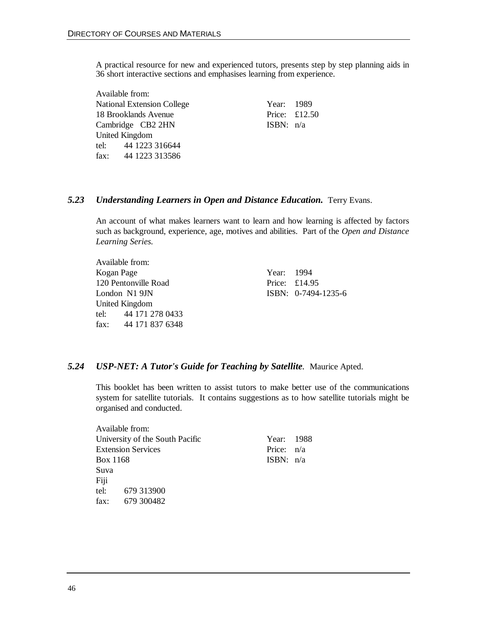A practical resource for new and experienced tutors, presents step by step planning aids in 36 short interactive sections and emphasises learning from experience.

Available from: National Extension College Year: 1989 18 Brooklands Avenue Price: £12.50 Cambridge CB2 2HN ISBN: n/a United Kingdom tel: 44 1223 316644 fax: 44 1223 313586

### *5.23 Understanding Learners in Open and Distance Education.* Terry Evans.

An account of what makes learners want to learn and how learning is affected by factors such as background, experience, age, motives and abilities. Part of the *Open and Distance Learning Series.*

Available from: Kogan Page Year: 1994 120 Pentonville Road Price: £14.95 London N1 9JN ISBN: 0-7494-1235-6 United Kingdom tel: 44 171 278 0433 fax: 44 171 837 6348

### *5.24 USP-NET: A Tutor's Guide for Teaching by Satellite.* Maurice Apted.

This booklet has been written to assist tutors to make better use of the communications system for satellite tutorials. It contains suggestions as to how satellite tutorials might be organised and conducted.

|                                 | Available from: |              |  |
|---------------------------------|-----------------|--------------|--|
| University of the South Pacific |                 | Year: 1988   |  |
| <b>Extension Services</b>       |                 | Price: $n/a$ |  |
| Box 1168                        |                 | ISBN: $n/a$  |  |
| Suva                            |                 |              |  |
| Fiji                            |                 |              |  |
|                                 | tel: 679 313900 |              |  |
|                                 | fax: 679 300482 |              |  |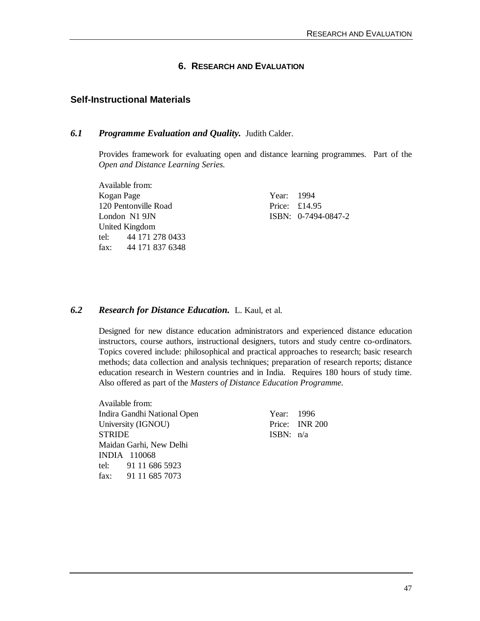#### **6. RESEARCH AND EVALUATION**

#### **Self-Instructional Materials**

#### *6.1 Programme Evaluation and Quality.* Judith Calder.

Provides framework for evaluating open and distance learning programmes. Part of the *Open and Distance Learning Series.*

Available from: Kogan Page Year: 1994 120 Pentonville Road Price: £14.95 London N1 9JN ISBN: 0-7494-0847-2 United Kingdom tel: 44 171 278 0433 fax: 44 171 837 6348

#### *6.2 Research for Distance Education.* L. Kaul, et al.

Designed for new distance education administrators and experienced distance education instructors, course authors, instructional designers, tutors and study centre co-ordinators. Topics covered include: philosophical and practical approaches to research; basic research methods; data collection and analysis techniques; preparation of research reports; distance education research in Western countries and in India. Requires 180 hours of study time. Also offered as part of the *Masters of Distance Education Programme.*

Available from: Indira Gandhi National Open Year: 1996 University (IGNOU) Price: INR 200 STRIDE ISBN: n/a Maidan Garhi, New Delhi INDIA 110068 tel: 91 11 686 5923 fax: 91 11 685 7073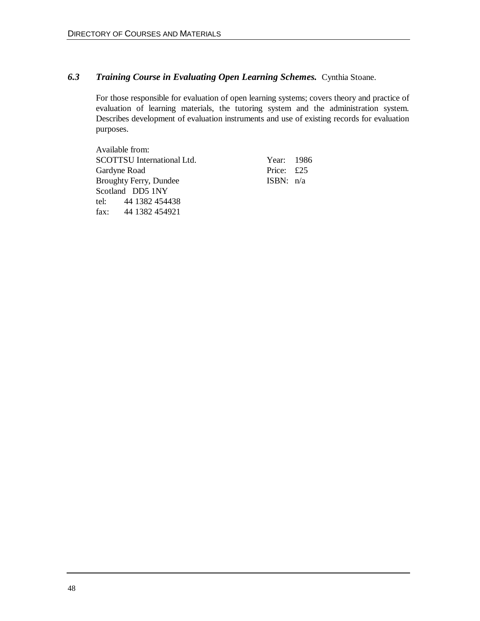### *6.3 Training Course in Evaluating Open Learning Schemes.* Cynthia Stoane.

For those responsible for evaluation of open learning systems; covers theory and practice of evaluation of learning materials, the tutoring system and the administration system. Describes development of evaluation instruments and use of existing records for evaluation purposes.

Available from: SCOTTSU International Ltd. Year: 1986 Gardyne Road Price: £25 Broughty Ferry, Dundee **ISBN:** n/a Scotland DD5 1NY tel: 44 1382 454438 fax: 44 1382 454921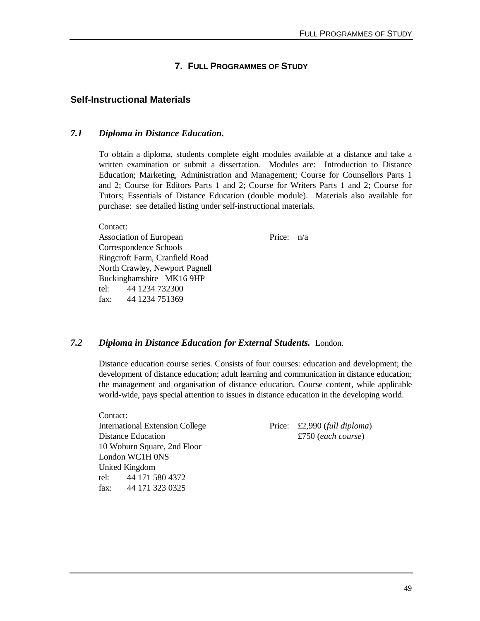### **7. FULL PROGRAMMES OF STUDY**

### **Self-Instructional Materials**

#### *7.1 Diploma in Distance Education.*

To obtain a diploma, students complete eight modules available at a distance and take a written examination or submit a dissertation. Modules are: Introduction to Distance Education; Marketing, Administration and Management; Course for Counsellors Parts 1 and 2; Course for Editors Parts 1 and 2; Course for Writers Parts 1 and 2; Course for Tutors; Essentials of Distance Education (double module). Materials also available for purchase: see detailed listing under self-instructional materials.

Contact: Association of European Price: n/a Correspondence Schools Ringcroft Farm, Cranfield Road North Crawley, Newport Pagnell Buckinghamshire MK16 9HP tel: 44 1234 732300 fax: 44 1234 751369

#### *7.2 Diploma in Distance Education for External Students.* London.

Distance education course series. Consists of four courses: education and development; the development of distance education; adult learning and communication in distance education; the management and organisation of distance education. Course content, while applicable world-wide, pays special attention to issues in distance education in the developing world.

Contact: International Extension College Price: £2,990 (*full diploma*) Distance Education  $£750$  (*each course*) 10 Woburn Square, 2nd Floor London WC1H 0NS United Kingdom tel: 44 171 580 4372 fax: 44 171 323 0325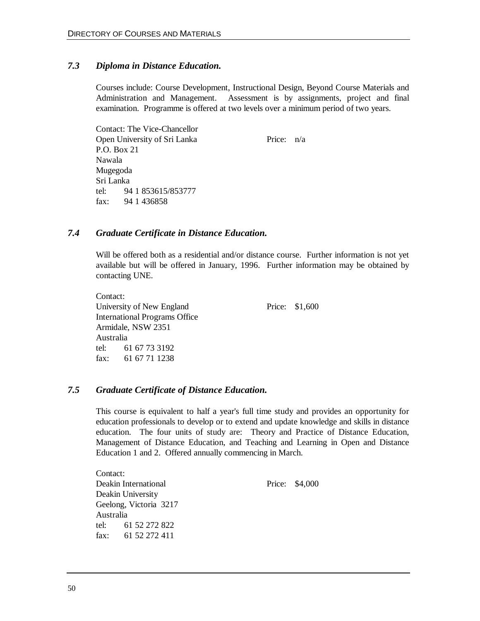### *7.3 Diploma in Distance Education.*

Courses include: Course Development, Instructional Design, Beyond Course Materials and Administration and Management. Assessment is by assignments, project and final examination. Programme is offered at two levels over a minimum period of two years.

Contact: The Vice-Chancellor Open University of Sri Lanka Price:  $n/a$ P.O. Box 21 Nawala Mugegoda Sri Lanka tel: 94 1 853615/853777 fax: 94 1 436858

#### *7.4 Graduate Certificate in Distance Education.*

Will be offered both as a residential and/or distance course. Further information is not yet available but will be offered in January, 1996. Further information may be obtained by contacting UNE.

Contact: University of New England Price: \$1,600 International Programs Office Armidale, NSW 2351 Australia tel: 61 67 73 3192 fax: 61 67 71 1238

#### *7.5 Graduate Certificate of Distance Education.*

This course is equivalent to half a year's full time study and provides an opportunity for education professionals to develop or to extend and update knowledge and skills in distance education. The four units of study are: Theory and Practice of Distance Education, Management of Distance Education, and Teaching and Learning in Open and Distance Education 1 and 2. Offered annually commencing in March.

Contact: Deakin International Price: \$4,000 Deakin University Geelong, Victoria 3217 Australia tel: 61 52 272 822 fax: 61 52 272 411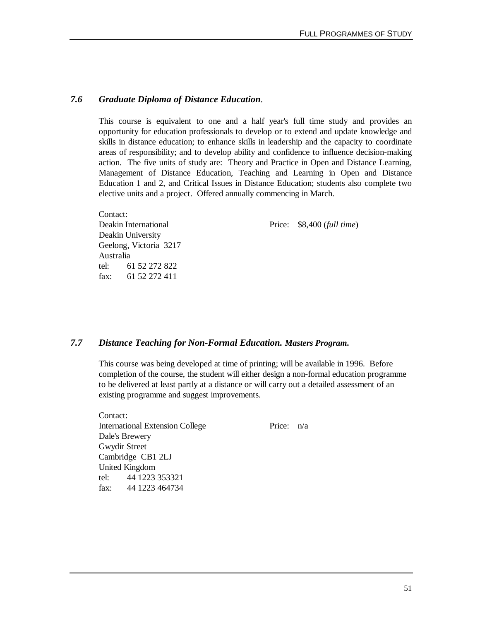### *7.6 Graduate Diploma of Distance Education.*

This course is equivalent to one and a half year's full time study and provides an opportunity for education professionals to develop or to extend and update knowledge and skills in distance education; to enhance skills in leadership and the capacity to coordinate areas of responsibility; and to develop ability and confidence to influence decision-making action. The five units of study are: Theory and Practice in Open and Distance Learning, Management of Distance Education, Teaching and Learning in Open and Distance Education 1 and 2, and Critical Issues in Distance Education; students also complete two elective units and a project. Offered annually commencing in March.

Contact: Deakin International Price: \$8,400 (*full time*) Deakin University Geelong, Victoria 3217 Australia tel: 61 52 272 822 fax: 61 52 272 411

 $\alpha$  contact:

#### *7.7 Distance Teaching for Non-Formal Education. Masters Program.*

This course was being developed at time of printing; will be available in 1996. Before completion of the course, the student will either design a non-formal education programme to be delivered at least partly at a distance or will carry out a detailed assessment of an existing programme and suggest improvements.

| Contact:       |                                        |              |  |
|----------------|----------------------------------------|--------------|--|
|                | <b>International Extension College</b> | Price: $n/a$ |  |
| Dale's Brewery |                                        |              |  |
| Gwydir Street  |                                        |              |  |
|                | Cambridge CB1 2LJ                      |              |  |
|                | United Kingdom                         |              |  |
|                | tel: 44 1223 353321                    |              |  |
|                | fax: $441223464734$                    |              |  |
|                |                                        |              |  |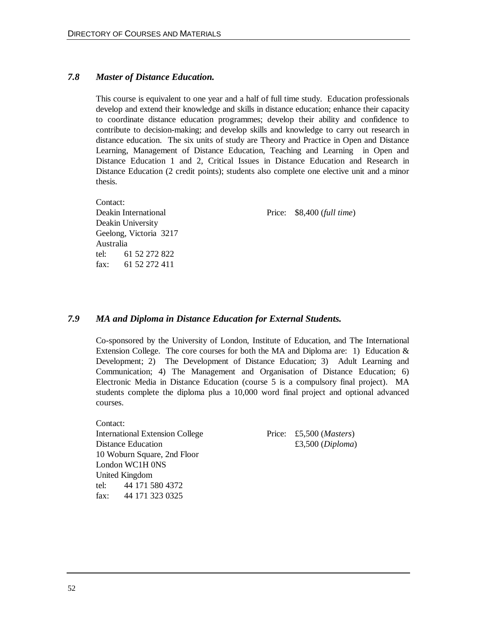### *7.8 Master of Distance Education.*

This course is equivalent to one year and a half of full time study. Education professionals develop and extend their knowledge and skills in distance education; enhance their capacity to coordinate distance education programmes; develop their ability and confidence to contribute to decision-making; and develop skills and knowledge to carry out research in distance education. The six units of study are Theory and Practice in Open and Distance Learning, Management of Distance Education, Teaching and Learning in Open and Distance Education 1 and 2, Critical Issues in Distance Education and Research in Distance Education (2 credit points); students also complete one elective unit and a minor thesis.

Contact: Deakin International Price: \$8,400 (*full time*) Deakin University Geelong, Victoria 3217 Australia tel: 61 52 272 822 fax: 61 52 272 411

### *7.9 MA and Diploma in Distance Education for External Students.*

Co-sponsored by the University of London, Institute of Education, and The International Extension College. The core courses for both the MA and Diploma are: 1) Education  $\&$ Development; 2) The Development of Distance Education; 3) Adult Learning and Communication; 4) The Management and Organisation of Distance Education; 6) Electronic Media in Distance Education (course 5 is a compulsory final project). MA students complete the diploma plus a 10,000 word final project and optional advanced courses.

Contact: International Extension College Price: £5,500 (*Masters*) Distance Education  $£3,500 (Diploma)$ 10 Woburn Square, 2nd Floor London WC1H 0NS United Kingdom tel: 44 171 580 4372 fax: 44 171 323 0325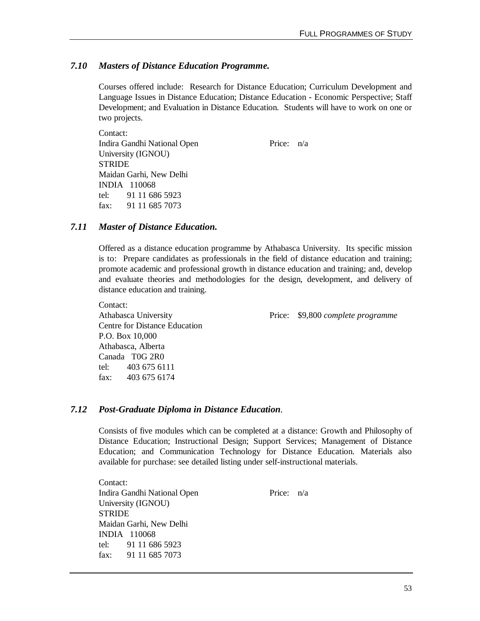### *7.10 Masters of Distance Education Programme.*

Courses offered include: Research for Distance Education; Curriculum Development and Language Issues in Distance Education; Distance Education - Economic Perspective; Staff Development; and Evaluation in Distance Education. Students will have to work on one or two projects.

Contact: Indira Gandhi National Open Price: n/a University (IGNOU) **STRIDE** Maidan Garhi, New Delhi INDIA 110068 tel: 91 11 686 5923 fax: 91 11 685 7073

### *7.11 Master of Distance Education.*

Offered as a distance education programme by Athabasca University. Its specific mission is to: Prepare candidates as professionals in the field of distance education and training; promote academic and professional growth in distance education and training; and, develop and evaluate theories and methodologies for the design, development, and delivery of distance education and training.

Contact: Centre for Distance Education P.O. Box 10,000 Athabasca, Alberta Canada T0G 2R0 tel: 403 675 6111 fax:  $403\,675\,6174$ 

Athabasca University Price: \$9,800 *complete programme*

### *7.12 Post-Graduate Diploma in Distance Education.*

Consists of five modules which can be completed at a distance: Growth and Philosophy of Distance Education; Instructional Design; Support Services; Management of Distance Education; and Communication Technology for Distance Education. Materials also available for purchase: see detailed listing under self-instructional materials.

Contact: Indira Gandhi National Open Price: n/a University (IGNOU) **STRIDE** Maidan Garhi, New Delhi INDIA 110068 tel: 91 11 686 5923 fax: 91 11 685 7073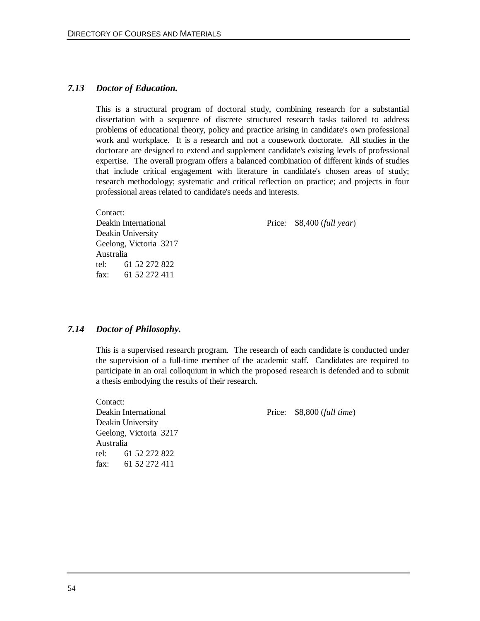#### *7.13 Doctor of Education.*

This is a structural program of doctoral study, combining research for a substantial dissertation with a sequence of discrete structured research tasks tailored to address problems of educational theory, policy and practice arising in candidate's own professional work and workplace. It is a research and not a cousework doctorate. All studies in the doctorate are designed to extend and supplement candidate's existing levels of professional expertise. The overall program offers a balanced combination of different kinds of studies that include critical engagement with literature in candidate's chosen areas of study; research methodology; systematic and critical reflection on practice; and projects in four professional areas related to candidate's needs and interests.

Contact: Deakin University Geelong, Victoria 3217 Australia tel: 61 52 272 822 fax: 61 52 272 411

Deakin International Price: \$8,400 (*full year*)

#### *7.14 Doctor of Philosophy.*

This is a supervised research program. The research of each candidate is conducted under the supervision of a full-time member of the academic staff. Candidates are required to participate in an oral colloquium in which the proposed research is defended and to submit a thesis embodying the results of their research.

Contact: Deakin University Geelong, Victoria 3217 Australia tel: 61 52 272 822 fax: 61 52 272 411

Deakin International Price: \$8,800 (*full time*)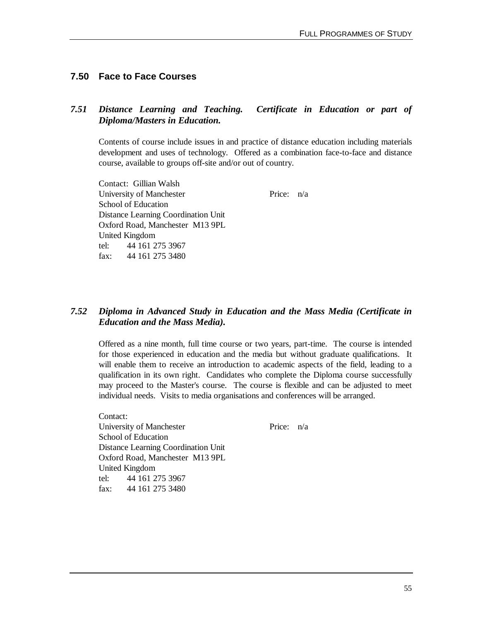### **7.50 Face to Face Courses**

### *7.51 Distance Learning and Teaching. Certificate in Education or part of Diploma/Masters in Education.*

Contents of course include issues in and practice of distance education including materials development and uses of technology. Offered as a combination face-to-face and distance course, available to groups off-site and/or out of country.

Contact: Gillian Walsh University of Manchester Price:  $n/a$ School of Education Distance Learning Coordination Unit Oxford Road, Manchester M13 9PL United Kingdom tel: 44 161 275 3967 fax: 44 161 275 3480

### *7.52 Diploma in Advanced Study in Education and the Mass Media (Certificate in Education and the Mass Media).*

Offered as a nine month, full time course or two years, part-time. The course is intended for those experienced in education and the media but without graduate qualifications. It will enable them to receive an introduction to academic aspects of the field, leading to a qualification in its own right. Candidates who complete the Diploma course successfully may proceed to the Master's course. The course is flexible and can be adjusted to meet individual needs. Visits to media organisations and conferences will be arranged.

Contact: University of Manchester Price:  $n/a$ School of Education Distance Learning Coordination Unit Oxford Road, Manchester M13 9PL United Kingdom tel: 44 161 275 3967 fax: 44 161 275 3480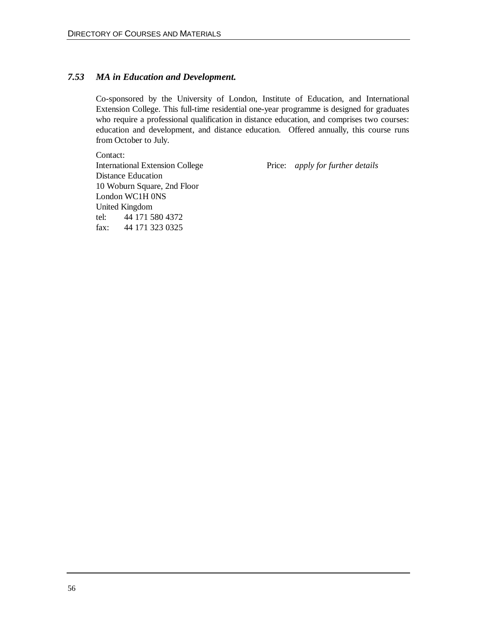### *7.53 MA in Education and Development.*

Co-sponsored by the University of London, Institute of Education, and International Extension College. This full-time residential one-year programme is designed for graduates who require a professional qualification in distance education, and comprises two courses: education and development, and distance education. Offered annually, this course runs from October to July.

Contact: International Extension College Price: *apply for further details* Distance Education 10 Woburn Square, 2nd Floor London WC1H 0NS United Kingdom tel: 44 171 580 4372 fax: 44 171 323 0325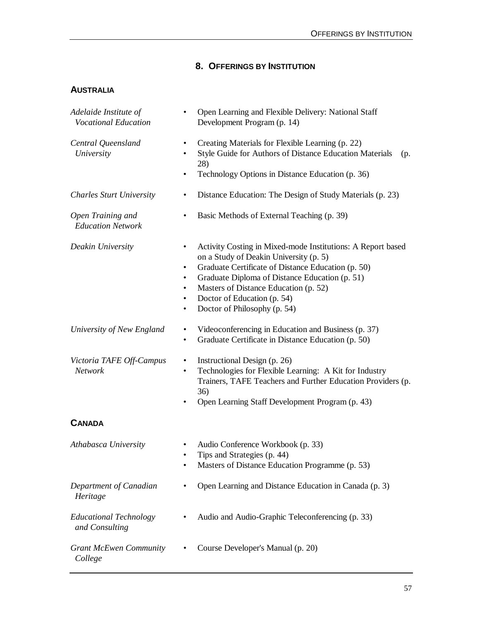## **8. OFFERINGS BY INSTITUTION**

### **AUSTRALIA**

| Adelaide Institute of<br><b>Vocational Education</b> | Open Learning and Flexible Delivery: National Staff<br>Development Program (p. 14)                                                                                                                                                                                                                                                                          |
|------------------------------------------------------|-------------------------------------------------------------------------------------------------------------------------------------------------------------------------------------------------------------------------------------------------------------------------------------------------------------------------------------------------------------|
| Central Queensland<br>University                     | Creating Materials for Flexible Learning (p. 22)<br>$\bullet$<br>Style Guide for Authors of Distance Education Materials<br>(p.<br>28)<br>Technology Options in Distance Education (p. 36)<br>٠                                                                                                                                                             |
| <b>Charles Sturt University</b>                      | Distance Education: The Design of Study Materials (p. 23)                                                                                                                                                                                                                                                                                                   |
| Open Training and<br><b>Education Network</b>        | Basic Methods of External Teaching (p. 39)<br>$\bullet$                                                                                                                                                                                                                                                                                                     |
| Deakin University                                    | Activity Costing in Mixed-mode Institutions: A Report based<br>٠<br>on a Study of Deakin University (p. 5)<br>Graduate Certificate of Distance Education (p. 50)<br>٠<br>Graduate Diploma of Distance Education (p. 51)<br>٠<br>Masters of Distance Education (p. 52)<br>٠<br>Doctor of Education (p. 54)<br>$\bullet$<br>Doctor of Philosophy (p. 54)<br>٠ |
| University of New England                            | Videoconferencing in Education and Business (p. 37)<br>٠<br>Graduate Certificate in Distance Education (p. 50)<br>٠                                                                                                                                                                                                                                         |
| Victoria TAFE Off-Campus<br>Network                  | Instructional Design (p. 26)<br>٠<br>Technologies for Flexible Learning: A Kit for Industry<br>٠<br>Trainers, TAFE Teachers and Further Education Providers (p.<br>36)<br>Open Learning Staff Development Program (p. 43)                                                                                                                                   |
| <b>CANADA</b>                                        |                                                                                                                                                                                                                                                                                                                                                             |
| Athabasca University                                 | Audio Conference Workbook (p. 33)<br>Tips and Strategies (p. 44)<br>٠<br>Masters of Distance Education Programme (p. 53)<br>٠                                                                                                                                                                                                                               |
| Department of Canadian<br>Heritage                   | Open Learning and Distance Education in Canada (p. 3)                                                                                                                                                                                                                                                                                                       |
| <b>Educational Technology</b><br>and Consulting      | Audio and Audio-Graphic Teleconferencing (p. 33)                                                                                                                                                                                                                                                                                                            |
| <b>Grant McEwen Community</b><br>College             | Course Developer's Manual (p. 20)                                                                                                                                                                                                                                                                                                                           |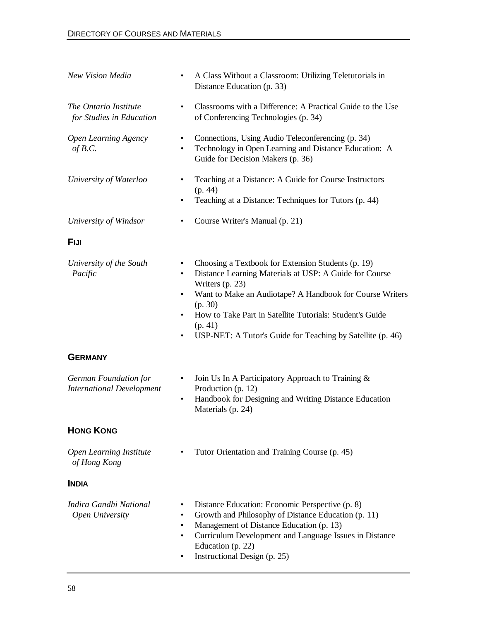| New Vision Media                                          | A Class Without a Classroom: Utilizing Teletutorials in<br>٠<br>Distance Education (p. 33)                                                                                                                                                                                                                                                                                   |
|-----------------------------------------------------------|------------------------------------------------------------------------------------------------------------------------------------------------------------------------------------------------------------------------------------------------------------------------------------------------------------------------------------------------------------------------------|
| The Ontario Institute<br>for Studies in Education         | Classrooms with a Difference: A Practical Guide to the Use<br>٠<br>of Conferencing Technologies (p. 34)                                                                                                                                                                                                                                                                      |
| <b>Open Learning Agency</b><br>of $B.C.$                  | Connections, Using Audio Teleconferencing (p. 34)<br>$\bullet$<br>Technology in Open Learning and Distance Education: A<br>$\bullet$<br>Guide for Decision Makers (p. 36)                                                                                                                                                                                                    |
| University of Waterloo                                    | Teaching at a Distance: A Guide for Course Instructors<br>٠<br>(p. 44)<br>Teaching at a Distance: Techniques for Tutors (p. 44)<br>$\bullet$                                                                                                                                                                                                                                 |
| University of Windsor                                     | Course Writer's Manual (p. 21)                                                                                                                                                                                                                                                                                                                                               |
| <b>FIJI</b>                                               |                                                                                                                                                                                                                                                                                                                                                                              |
| University of the South<br>Pacific                        | Choosing a Textbook for Extension Students (p. 19)<br>٠<br>Distance Learning Materials at USP: A Guide for Course<br>$\bullet$<br>Writers (p. 23)<br>Want to Make an Audiotape? A Handbook for Course Writers<br>٠<br>(p. 30)<br>How to Take Part in Satellite Tutorials: Student's Guide<br>٠<br>(p. 41)<br>USP-NET: A Tutor's Guide for Teaching by Satellite (p. 46)<br>٠ |
| <b>GERMANY</b>                                            |                                                                                                                                                                                                                                                                                                                                                                              |
| German Foundation for<br><b>International Development</b> | Join Us In A Participatory Approach to Training &<br>٠<br>Production (p. 12)<br>Handbook for Designing and Writing Distance Education<br>٠<br>Materials (p. 24)                                                                                                                                                                                                              |
| <b>HONG KONG</b>                                          |                                                                                                                                                                                                                                                                                                                                                                              |
| Open Learning Institute<br>of Hong Kong                   | Tutor Orientation and Training Course (p. 45)                                                                                                                                                                                                                                                                                                                                |
| <b>INDIA</b>                                              |                                                                                                                                                                                                                                                                                                                                                                              |
| Indira Gandhi National<br>Open University                 | Distance Education: Economic Perspective (p. 8)<br>٠<br>Growth and Philosophy of Distance Education (p. 11)<br>$\bullet$<br>Management of Distance Education (p. 13)<br>$\bullet$<br>Curriculum Development and Language Issues in Distance<br>$\bullet$<br>Education (p. 22)<br>Instructional Design (p. 25)<br>٠                                                           |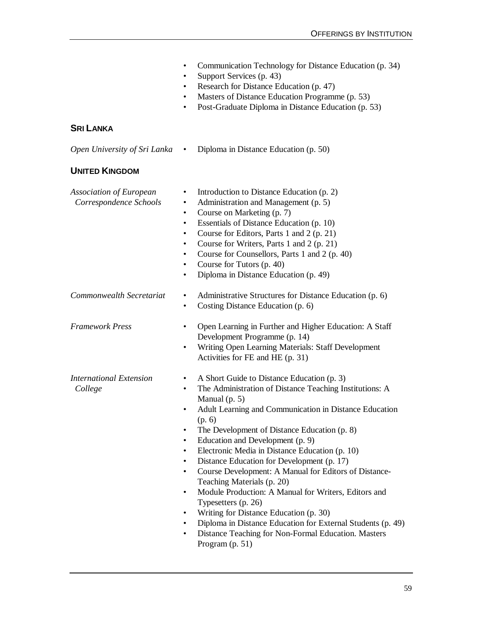|                                                   | Communication Technology for Distance Education (p. 34)<br>$\bullet$<br>Support Services (p. 43)<br>$\bullet$<br>Research for Distance Education (p. 47)<br>$\bullet$<br>Masters of Distance Education Programme (p. 53)<br>$\bullet$<br>Post-Graduate Diploma in Distance Education (p. 53)<br>$\bullet$                                                                                                                                                                                                                                                                                                                                                                                                                                                                                                                                                        |
|---------------------------------------------------|------------------------------------------------------------------------------------------------------------------------------------------------------------------------------------------------------------------------------------------------------------------------------------------------------------------------------------------------------------------------------------------------------------------------------------------------------------------------------------------------------------------------------------------------------------------------------------------------------------------------------------------------------------------------------------------------------------------------------------------------------------------------------------------------------------------------------------------------------------------|
| <b>SRI LANKA</b>                                  |                                                                                                                                                                                                                                                                                                                                                                                                                                                                                                                                                                                                                                                                                                                                                                                                                                                                  |
| Open University of Sri Lanka                      | Diploma in Distance Education (p. 50)<br>$\bullet$                                                                                                                                                                                                                                                                                                                                                                                                                                                                                                                                                                                                                                                                                                                                                                                                               |
| <b>UNITED KINGDOM</b>                             |                                                                                                                                                                                                                                                                                                                                                                                                                                                                                                                                                                                                                                                                                                                                                                                                                                                                  |
| Association of European<br>Correspondence Schools | Introduction to Distance Education (p. 2)<br>٠<br>Administration and Management (p. 5)<br>$\bullet$<br>Course on Marketing (p. 7)<br>$\bullet$<br>Essentials of Distance Education (p. 10)<br>$\bullet$<br>Course for Editors, Parts 1 and 2 (p. 21)<br>٠<br>Course for Writers, Parts 1 and 2 (p. 21)<br>$\bullet$<br>Course for Counsellors, Parts 1 and 2 (p. 40)<br>$\bullet$<br>Course for Tutors (p. 40)<br>$\bullet$<br>Diploma in Distance Education (p. 49)<br>$\bullet$                                                                                                                                                                                                                                                                                                                                                                                |
| Commonwealth Secretariat                          | Administrative Structures for Distance Education (p. 6)<br>٠<br>Costing Distance Education (p. 6)<br>$\bullet$                                                                                                                                                                                                                                                                                                                                                                                                                                                                                                                                                                                                                                                                                                                                                   |
| <b>Framework Press</b>                            | Open Learning in Further and Higher Education: A Staff<br>٠<br>Development Programme (p. 14)<br>Writing Open Learning Materials: Staff Development<br>$\bullet$<br>Activities for FE and HE (p. 31)                                                                                                                                                                                                                                                                                                                                                                                                                                                                                                                                                                                                                                                              |
| International Extension<br>College                | A Short Guide to Distance Education (p. 3)<br>٠<br>The Administration of Distance Teaching Institutions: A<br>$\bullet$<br>Manual $(p. 5)$<br>Adult Learning and Communication in Distance Education<br>(p. 6)<br>The Development of Distance Education (p. 8)<br>$\bullet$<br>Education and Development (p. 9)<br>٠<br>Electronic Media in Distance Education (p. 10)<br>$\bullet$<br>Distance Education for Development (p. 17)<br>$\bullet$<br>Course Development: A Manual for Editors of Distance-<br>$\bullet$<br>Teaching Materials (p. 20)<br>Module Production: A Manual for Writers, Editors and<br>٠<br>Typesetters (p. 26)<br>Writing for Distance Education (p. 30)<br>$\bullet$<br>Diploma in Distance Education for External Students (p. 49)<br>$\bullet$<br>Distance Teaching for Non-Formal Education. Masters<br>$\bullet$<br>Program (p. 51) |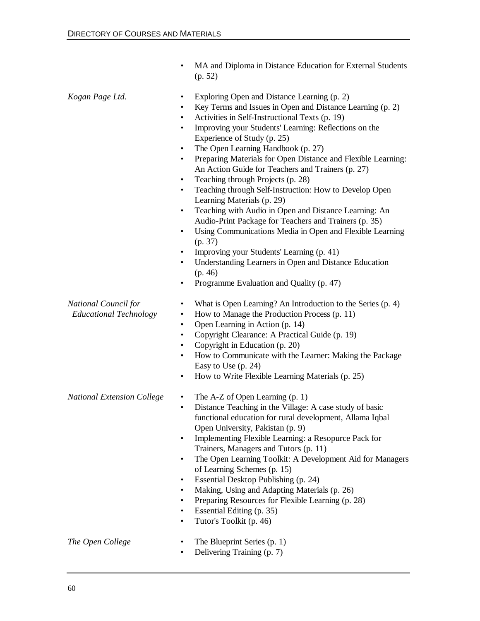|                                                       | MA and Diploma in Distance Education for External Students<br>(p. 52)                                                                                                                                                                                                                                                                                                                                                                                                                                                                                                                                                                                                                                                                                                                                                                                                                                                                                                                                                                                     |
|-------------------------------------------------------|-----------------------------------------------------------------------------------------------------------------------------------------------------------------------------------------------------------------------------------------------------------------------------------------------------------------------------------------------------------------------------------------------------------------------------------------------------------------------------------------------------------------------------------------------------------------------------------------------------------------------------------------------------------------------------------------------------------------------------------------------------------------------------------------------------------------------------------------------------------------------------------------------------------------------------------------------------------------------------------------------------------------------------------------------------------|
| Kogan Page Ltd.                                       | Exploring Open and Distance Learning (p. 2)<br>٠<br>Key Terms and Issues in Open and Distance Learning (p. 2)<br>$\bullet$<br>Activities in Self-Instructional Texts (p. 19)<br>$\bullet$<br>Improving your Students' Learning: Reflections on the<br>$\bullet$<br>Experience of Study (p. 25)<br>The Open Learning Handbook (p. 27)<br>$\bullet$<br>Preparing Materials for Open Distance and Flexible Learning:<br>$\bullet$<br>An Action Guide for Teachers and Trainers (p. 27)<br>Teaching through Projects (p. 28)<br>$\bullet$<br>Teaching through Self-Instruction: How to Develop Open<br>$\bullet$<br>Learning Materials (p. 29)<br>Teaching with Audio in Open and Distance Learning: An<br>$\bullet$<br>Audio-Print Package for Teachers and Trainers (p. 35)<br>Using Communications Media in Open and Flexible Learning<br>$\bullet$<br>(p. 37)<br>Improving your Students' Learning (p. 41)<br>$\bullet$<br>Understanding Learners in Open and Distance Education<br>$\bullet$<br>(p. 46)<br>Programme Evaluation and Quality (p. 47)<br>٠ |
| National Council for<br><b>Educational Technology</b> | What is Open Learning? An Introduction to the Series (p. 4)<br>٠<br>How to Manage the Production Process (p. 11)<br>$\bullet$<br>Open Learning in Action (p. 14)<br>$\bullet$<br>Copyright Clearance: A Practical Guide (p. 19)<br>٠<br>Copyright in Education (p. 20)<br>$\bullet$<br>How to Communicate with the Learner: Making the Package<br>$\bullet$<br>Easy to Use $(p. 24)$<br>How to Write Flexible Learning Materials (p. 25)<br>٠                                                                                                                                                                                                                                                                                                                                                                                                                                                                                                                                                                                                             |
| <b>National Extension College</b>                     | The A-Z of Open Learning (p. 1)<br>Distance Teaching in the Village: A case study of basic<br>$\bullet$<br>functional education for rural development, Allama Iqbal<br>Open University, Pakistan (p. 9)<br>Implementing Flexible Learning: a Resopurce Pack for<br>$\bullet$<br>Trainers, Managers and Tutors (p. 11)<br>The Open Learning Toolkit: A Development Aid for Managers<br>$\bullet$<br>of Learning Schemes (p. 15)<br>Essential Desktop Publishing (p. 24)<br>$\bullet$<br>Making, Using and Adapting Materials (p. 26)<br>$\bullet$<br>Preparing Resources for Flexible Learning (p. 28)<br>٠<br>Essential Editing (p. 35)<br>$\bullet$<br>Tutor's Toolkit (p. 46)<br>$\bullet$                                                                                                                                                                                                                                                                                                                                                              |
| The Open College                                      | The Blueprint Series (p. 1)<br>Delivering Training (p. 7)                                                                                                                                                                                                                                                                                                                                                                                                                                                                                                                                                                                                                                                                                                                                                                                                                                                                                                                                                                                                 |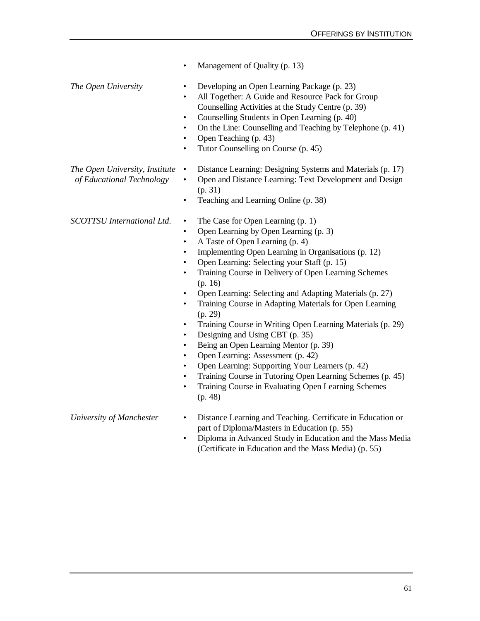|                                                             | Management of Quality (p. 13)<br>$\bullet$                                                                                                                                                                                                                                                                                                                                                                                                                                                                                                                                                                                                                                                                                                                                                                                                                                                                                                                                     |
|-------------------------------------------------------------|--------------------------------------------------------------------------------------------------------------------------------------------------------------------------------------------------------------------------------------------------------------------------------------------------------------------------------------------------------------------------------------------------------------------------------------------------------------------------------------------------------------------------------------------------------------------------------------------------------------------------------------------------------------------------------------------------------------------------------------------------------------------------------------------------------------------------------------------------------------------------------------------------------------------------------------------------------------------------------|
| The Open University                                         | Developing an Open Learning Package (p. 23)<br>$\bullet$<br>All Together: A Guide and Resource Pack for Group<br>$\bullet$<br>Counselling Activities at the Study Centre (p. 39)<br>Counselling Students in Open Learning (p. 40)<br>$\bullet$<br>On the Line: Counselling and Teaching by Telephone (p. 41)<br>$\bullet$<br>Open Teaching (p. 43)<br>$\bullet$<br>Tutor Counselling on Course (p. 45)<br>$\bullet$                                                                                                                                                                                                                                                                                                                                                                                                                                                                                                                                                            |
| The Open University, Institute<br>of Educational Technology | Distance Learning: Designing Systems and Materials (p. 17)<br>$\bullet$<br>Open and Distance Learning: Text Development and Design<br>$\bullet$<br>(p. 31)<br>Teaching and Learning Online (p. 38)<br>$\bullet$                                                                                                                                                                                                                                                                                                                                                                                                                                                                                                                                                                                                                                                                                                                                                                |
| <b>SCOTTSU</b> International Ltd.                           | The Case for Open Learning (p. 1)<br>$\bullet$<br>Open Learning by Open Learning (p. 3)<br>$\bullet$<br>A Taste of Open Learning (p. 4)<br>$\bullet$<br>Implementing Open Learning in Organisations (p. 12)<br>$\bullet$<br>Open Learning: Selecting your Staff (p. 15)<br>$\bullet$<br>Training Course in Delivery of Open Learning Schemes<br>$\bullet$<br>(p. 16)<br>Open Learning: Selecting and Adapting Materials (p. 27)<br>$\bullet$<br>Training Course in Adapting Materials for Open Learning<br>$\bullet$<br>(p. 29)<br>Training Course in Writing Open Learning Materials (p. 29)<br>$\bullet$<br>Designing and Using CBT (p. 35)<br>$\bullet$<br>Being an Open Learning Mentor (p. 39)<br>$\bullet$<br>Open Learning: Assessment (p. 42)<br>$\bullet$<br>Open Learning: Supporting Your Learners (p. 42)<br>$\bullet$<br>Training Course in Tutoring Open Learning Schemes (p. 45)<br>Training Course in Evaluating Open Learning Schemes<br>$\bullet$<br>(p. 48) |
| University of Manchester                                    | Distance Learning and Teaching. Certificate in Education or<br>$\bullet$<br>part of Diploma/Masters in Education (p. 55)                                                                                                                                                                                                                                                                                                                                                                                                                                                                                                                                                                                                                                                                                                                                                                                                                                                       |

• Diploma in Advanced Study in Education and the Mass Media (Certificate in Education and the Mass Media) (p. 55)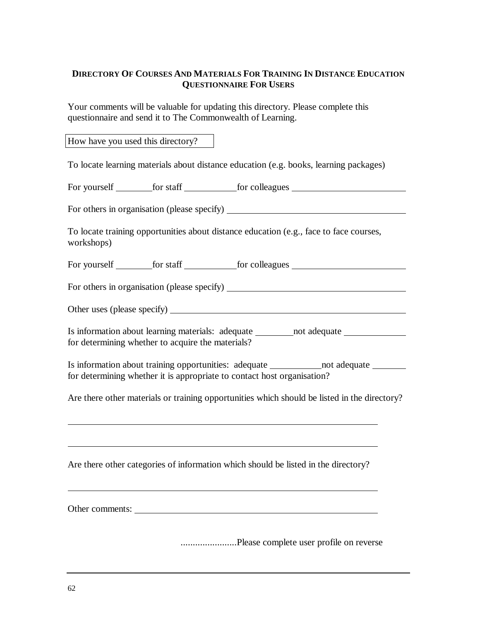### **DIRECTORY OF COURSES AND MATERIALS FOR TRAINING IN DISTANCE EDUCATION QUESTIONNAIRE FOR USERS**

Your comments will be valuable for updating this directory. Please complete this questionnaire and send it to The Commonwealth of Learning.

How have you used this directory?

To locate learning materials about distance education (e.g. books, learning packages)

For yourself for staff for colleagues

For others in organisation (please specify)

To locate training opportunities about distance education (e.g., face to face courses, workshops)

For yourself for staff for colleagues

For others in organisation (please specify)

Other uses (please specify)

Is information about learning materials: adequate \_\_\_\_\_\_\_ not adequate \_\_\_\_\_\_\_\_\_ for determining whether to acquire the materials?

Is information about training opportunities: adequate not adequate for determining whether it is appropriate to contact host organisation?

Are there other materials or training opportunities which should be listed in the directory?

Are there other categories of information which should be listed in the directory?

Other comments:

.......................Please complete user profile on reverse

 $\overline{a}$ 

 $\overline{a}$ 

 $\overline{a}$